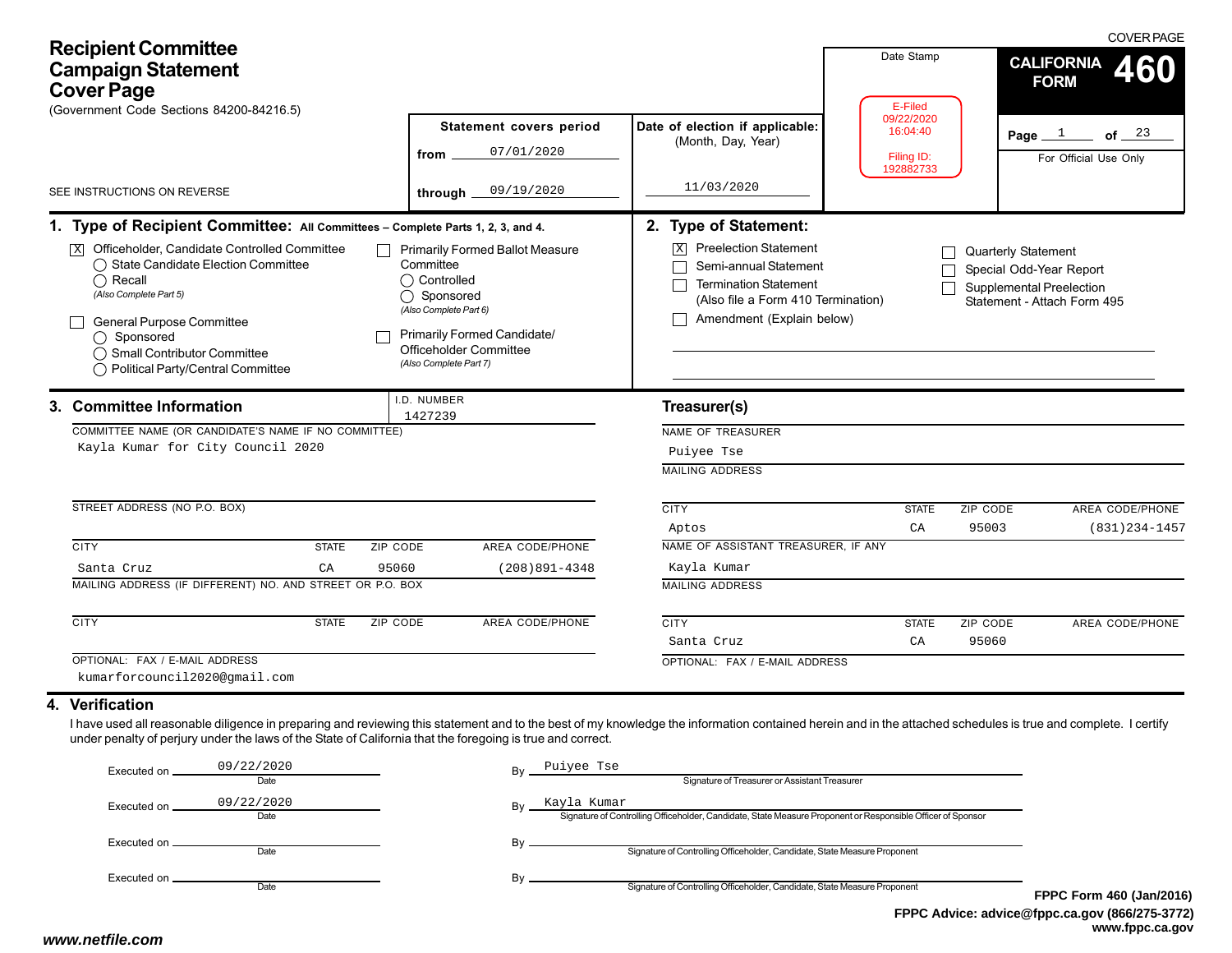| <b>Recipient Committee</b><br><b>Campaign Statement</b><br><b>Cover Page</b><br>(Government Code Sections 84200-84216.5)                                                                                                                                                                                                    | Statement covers period                                                                                                                                                                         | Date of election if applicable:                                                                                                                                | Date Stamp<br>E-Filed<br>09/22/2020<br>16:04:40 | <b>COVER PAGE</b><br><b>CALIFORNIA</b><br>460<br><b>FORM</b><br>Page $1$<br>of $23$                                     |
|-----------------------------------------------------------------------------------------------------------------------------------------------------------------------------------------------------------------------------------------------------------------------------------------------------------------------------|-------------------------------------------------------------------------------------------------------------------------------------------------------------------------------------------------|----------------------------------------------------------------------------------------------------------------------------------------------------------------|-------------------------------------------------|-------------------------------------------------------------------------------------------------------------------------|
|                                                                                                                                                                                                                                                                                                                             | 07/01/2020<br>from                                                                                                                                                                              | (Month, Day, Year)                                                                                                                                             | Filing ID:                                      | For Official Use Only                                                                                                   |
| SEE INSTRUCTIONS ON REVERSE                                                                                                                                                                                                                                                                                                 | 09/19/2020<br>through                                                                                                                                                                           | 11/03/2020                                                                                                                                                     | 192882733                                       |                                                                                                                         |
| 1. Type of Recipient Committee: All Committees - Complete Parts 1, 2, 3, and 4.                                                                                                                                                                                                                                             |                                                                                                                                                                                                 | 2. Type of Statement:                                                                                                                                          |                                                 |                                                                                                                         |
| Officeholder, Candidate Controlled Committee<br> X <br>◯ State Candidate Election Committee<br>$\bigcap$ Recall<br>(Also Complete Part 5)<br>General Purpose Committee<br>$\bigcap$ Sponsored<br>◯ Small Contributor Committee<br>◯ Political Party/Central Committee                                                       | <b>Primarily Formed Ballot Measure</b><br>Committee<br>◯ Controlled<br>◯ Sponsored<br>(Also Complete Part 6)<br>Primarily Formed Candidate/<br>Officeholder Committee<br>(Also Complete Part 7) | <b>Preelection Statement</b><br>ΙX<br>Semi-annual Statement<br><b>Termination Statement</b><br>(Also file a Form 410 Termination)<br>Amendment (Explain below) |                                                 | <b>Quarterly Statement</b><br>Special Odd-Year Report<br><b>Supplemental Preelection</b><br>Statement - Attach Form 495 |
| 3. Committee Information                                                                                                                                                                                                                                                                                                    | I.D. NUMBER                                                                                                                                                                                     | Treasurer(s)                                                                                                                                                   |                                                 |                                                                                                                         |
| COMMITTEE NAME (OR CANDIDATE'S NAME IF NO COMMITTEE)                                                                                                                                                                                                                                                                        | 1427239                                                                                                                                                                                         | NAME OF TREASURER                                                                                                                                              |                                                 |                                                                                                                         |
| Kayla Kumar for City Council 2020                                                                                                                                                                                                                                                                                           |                                                                                                                                                                                                 | Puiyee Tse                                                                                                                                                     |                                                 |                                                                                                                         |
|                                                                                                                                                                                                                                                                                                                             |                                                                                                                                                                                                 | <b>MAILING ADDRESS</b>                                                                                                                                         |                                                 |                                                                                                                         |
| STREET ADDRESS (NO P.O. BOX)                                                                                                                                                                                                                                                                                                |                                                                                                                                                                                                 | <b>CITY</b>                                                                                                                                                    | <b>STATE</b>                                    | ZIP CODE<br>AREA CODE/PHONE                                                                                             |
|                                                                                                                                                                                                                                                                                                                             |                                                                                                                                                                                                 | Aptos                                                                                                                                                          | CA                                              | 95003<br>$(831)$ $234 - 1457$                                                                                           |
| <b>CITY</b><br><b>STATE</b>                                                                                                                                                                                                                                                                                                 | AREA CODE/PHONE<br>ZIP CODE                                                                                                                                                                     | NAME OF ASSISTANT TREASURER, IF ANY                                                                                                                            |                                                 |                                                                                                                         |
| CA<br>Santa Cruz                                                                                                                                                                                                                                                                                                            | 95060<br>$(208)891 - 4348$                                                                                                                                                                      | Kayla Kumar                                                                                                                                                    |                                                 |                                                                                                                         |
| MAILING ADDRESS (IF DIFFERENT) NO. AND STREET OR P.O. BOX                                                                                                                                                                                                                                                                   |                                                                                                                                                                                                 | <b>MAILING ADDRESS</b>                                                                                                                                         |                                                 |                                                                                                                         |
| <b>CITY</b><br><b>STATE</b>                                                                                                                                                                                                                                                                                                 | <b>AREA CODE/PHONE</b><br>ZIP CODE                                                                                                                                                              | <b>CITY</b>                                                                                                                                                    | <b>STATE</b>                                    | ZIP CODE<br>AREA CODE/PHONE                                                                                             |
|                                                                                                                                                                                                                                                                                                                             |                                                                                                                                                                                                 | Santa Cruz                                                                                                                                                     | CA                                              | 95060                                                                                                                   |
| OPTIONAL: FAX / E-MAIL ADDRESS                                                                                                                                                                                                                                                                                              |                                                                                                                                                                                                 | OPTIONAL: FAX / E-MAIL ADDRESS                                                                                                                                 |                                                 |                                                                                                                         |
| kumarforcouncil2020@gmail.com                                                                                                                                                                                                                                                                                               |                                                                                                                                                                                                 |                                                                                                                                                                |                                                 |                                                                                                                         |
| 4. Verification                                                                                                                                                                                                                                                                                                             |                                                                                                                                                                                                 |                                                                                                                                                                |                                                 |                                                                                                                         |
| I have used all reasonable diligence in preparing and reviewing this statement and to the best of my knowledge the information contained herein and in the attached schedules is true and complete. I certify<br>under penalty of perjury under the laws of the State of California that the foregoing is true and correct. |                                                                                                                                                                                                 |                                                                                                                                                                |                                                 |                                                                                                                         |

| Executed on        | 09/22/2020 |    | Puiyee Tse                                                                                                  |           |  |  |  |
|--------------------|------------|----|-------------------------------------------------------------------------------------------------------------|-----------|--|--|--|
|                    | Date       |    | Signature of Treasurer or Assistant Treasurer                                                               |           |  |  |  |
| Executed on        | 09/22/2020 | Bv | Kayla Kumar                                                                                                 |           |  |  |  |
|                    | Date       |    | Signature of Controlling Officeholder, Candidate, State Measure Proponent or Responsible Officer of Sponsor |           |  |  |  |
| Executed on ______ |            |    |                                                                                                             |           |  |  |  |
|                    | Date       |    | Signature of Controlling Officeholder, Candidate, State Measure Proponent                                   |           |  |  |  |
| Executed on .      |            |    |                                                                                                             |           |  |  |  |
|                    | Date       |    | Signature of Controlling Officeholder, Candidate, State Measure Proponent                                   | <b>FP</b> |  |  |  |
|                    |            |    |                                                                                                             |           |  |  |  |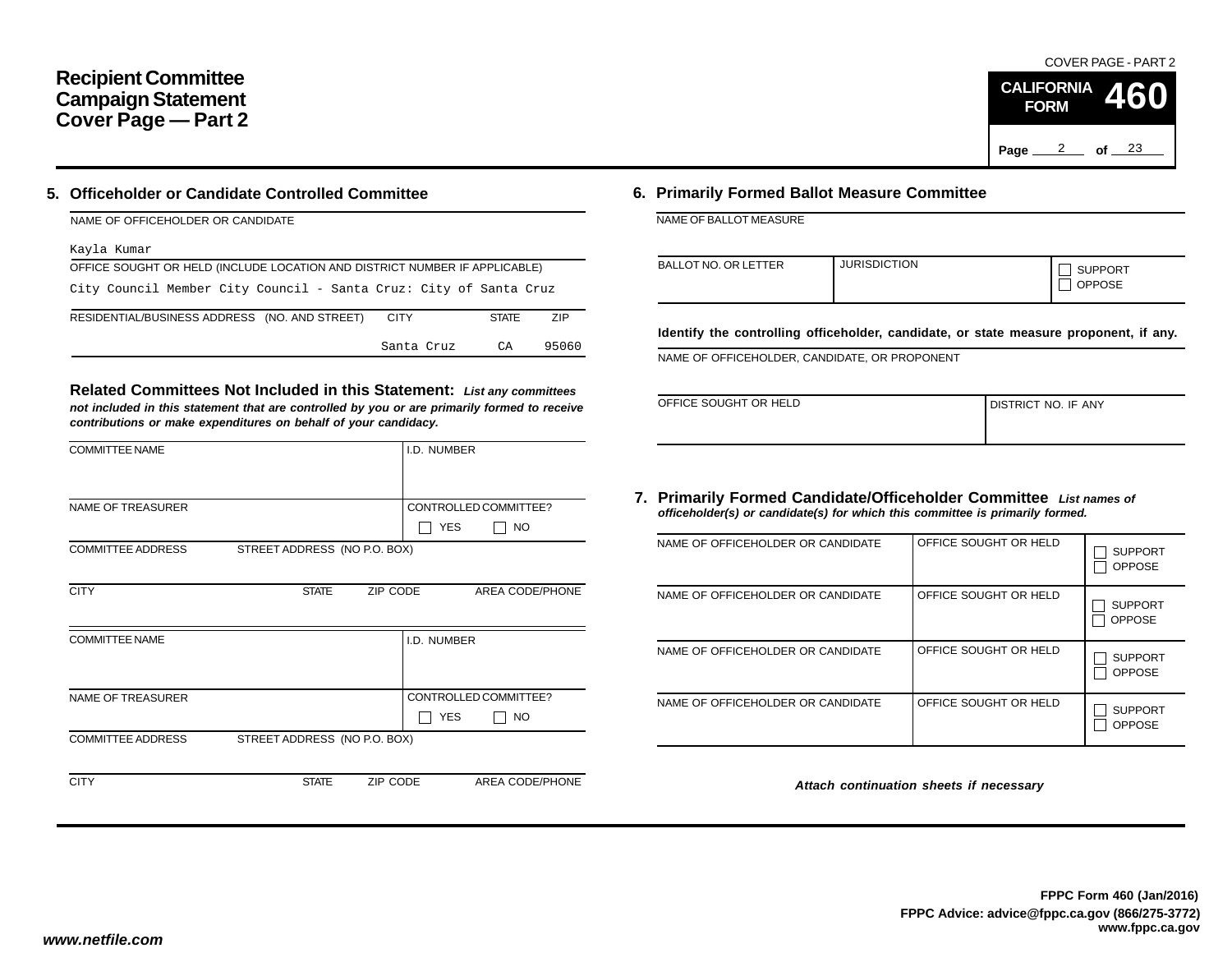# **Recipient Committee Campaign Statement Cover Page — Part 2**

### **5. Officeholder or Candidate Controlled Committee**

| NAME OF OFFICEHOLDER OR CANDIDATE                                          |              |       |
|----------------------------------------------------------------------------|--------------|-------|
| Kayla Kumar                                                                |              |       |
| OFFICE SOUGHT OR HELD (INCLUDE LOCATION AND DISTRICT NUMBER IF APPLICABLE) |              |       |
| City Council Member City Council - Santa Cruz: City of Santa Cruz          |              |       |
| RESIDENTIAL/BUSINESS ADDRESS (NO. AND STREET)<br><b>CITY</b>               | <b>STATE</b> | ZIP   |
| Santa Cruz                                                                 | CA           | 95060 |

**Related Committees Not Included in this Statement:** *List any committees not included in this statement that are controlled by you or are primarily formed to receive contributions or make expenditures on behalf of your candidacy.*

| <b>COMMITTEE NAME</b>    |                              |          | I.D. NUMBER |                       |
|--------------------------|------------------------------|----------|-------------|-----------------------|
|                          |                              |          |             |                       |
| <b>NAME OF TREASURER</b> |                              |          |             | CONTROLLED COMMITTEE? |
|                          |                              |          | <b>YES</b>  | <b>NO</b>             |
| <b>COMMITTEE ADDRESS</b> | STREET ADDRESS (NO P.O. BOX) |          |             |                       |
|                          |                              |          |             |                       |
| <b>CITY</b>              | <b>STATE</b>                 | ZIP CODE |             | AREA CODE/PHONE       |
|                          |                              |          |             |                       |
| <b>COMMITTEE NAME</b>    |                              |          | I.D. NUMBER |                       |
|                          |                              |          |             |                       |
|                          |                              |          |             |                       |
| <b>NAME OF TREASURER</b> |                              |          |             | CONTROLLED COMMITTEE? |
|                          |                              |          | <b>YES</b>  | NO.                   |
| <b>COMMITTEE ADDRESS</b> | STREET ADDRESS (NO P.O. BOX) |          |             |                       |
|                          |                              |          |             |                       |
| <b>CITY</b>              | <b>STATE</b>                 | ZIP CODE |             | AREA CODE/PHONE       |
|                          |                              |          |             |                       |

#### **6. Primarily Formed Ballot Measure Committee**

NAME OF BALLOT MEASURE

| BALLOT NO. OR LETTER | <b>JURISDICTION</b> | <b>SUPPORT</b><br><b>OPPOSE</b> |
|----------------------|---------------------|---------------------------------|
|----------------------|---------------------|---------------------------------|

**Identify the controlling officeholder, candidate, or state measure proponent, if any.**

NAME OF OFFICEHOLDER, CANDIDATE, OR PROPONENT

| OFFICE SOUGHT OR HELD | I DISTRICT NO. IF ANY |
|-----------------------|-----------------------|
|                       |                       |
|                       |                       |
|                       |                       |
|                       |                       |

#### **7. Primarily Formed Candidate/Officeholder Committee** *List names of officeholder(s) or candidate(s) for which this committee is primarily formed.*

| NAME OF OFFICEHOLDER OR CANDIDATE | OFFICE SOUGHT OR HELD | <b>SUPPORT</b><br><b>OPPOSE</b> |
|-----------------------------------|-----------------------|---------------------------------|
| NAME OF OFFICEHOLDER OR CANDIDATE | OFFICE SOUGHT OR HELD | <b>SUPPORT</b><br><b>OPPOSE</b> |
| NAME OF OFFICEHOLDER OR CANDIDATE | OFFICE SOUGHT OR HELD | <b>SUPPORT</b><br><b>OPPOSE</b> |
| NAME OF OFFICEHOLDER OR CANDIDATE | OFFICE SOUGHT OR HELD | <b>SUPPORT</b><br><b>OPPOSE</b> |

*Attach continuation sheets if necessary*

Page <u>2</u> of 23

**CALIFORNIA FORM**

COVER PAGE - PART 2

**460**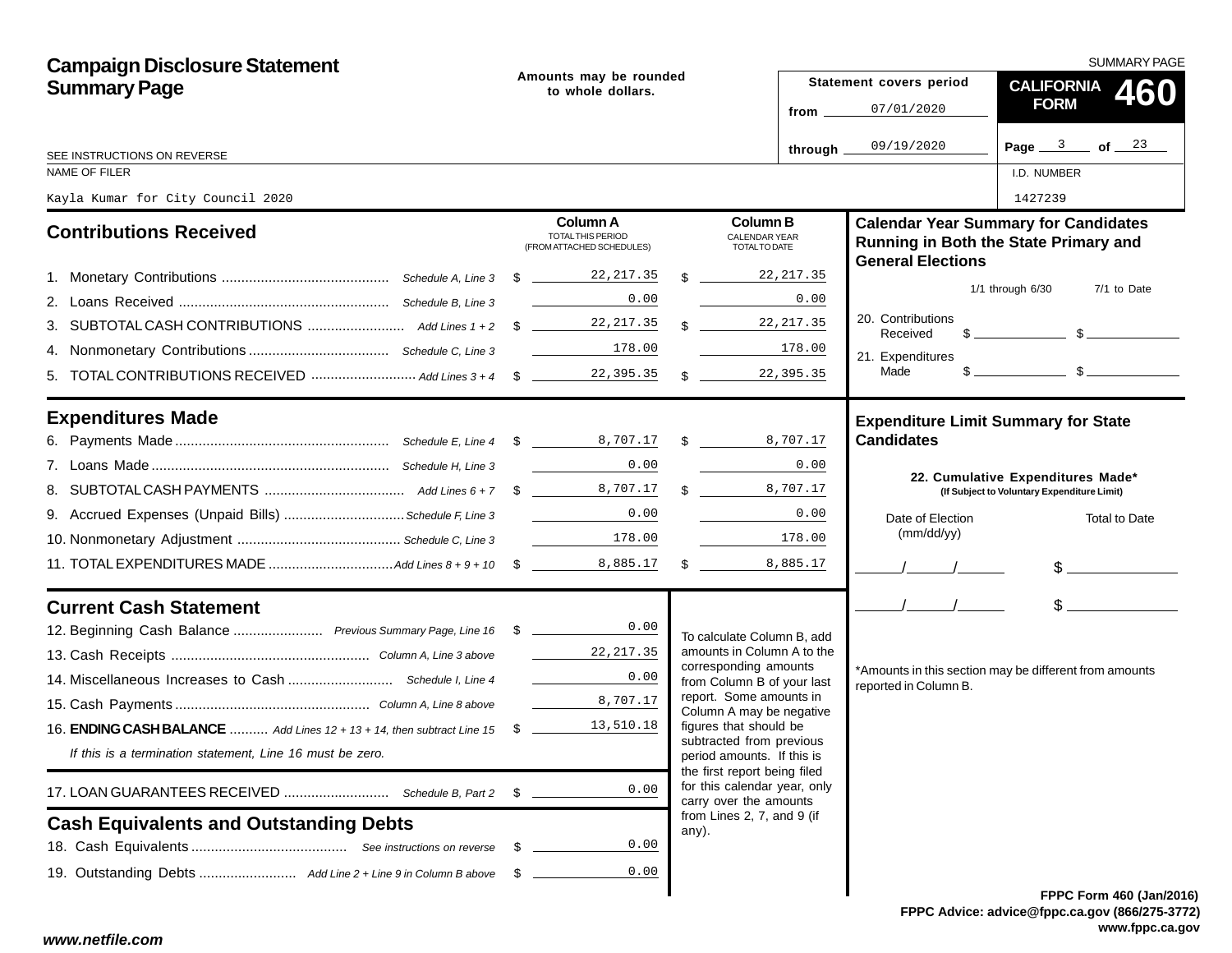| <b>Campaign Disclosure Statement</b>                                              |                                             |                                                            |  |                                                                                        |                         |                                | SUMMARY PAGE                                                                                                                                                                                                                                                                                                        |  |
|-----------------------------------------------------------------------------------|---------------------------------------------|------------------------------------------------------------|--|----------------------------------------------------------------------------------------|-------------------------|--------------------------------|---------------------------------------------------------------------------------------------------------------------------------------------------------------------------------------------------------------------------------------------------------------------------------------------------------------------|--|
| <b>Summary Page</b>                                                               | Amounts may be rounded<br>to whole dollars. |                                                            |  |                                                                                        | Statement covers period | <b>CALIFORNIA</b><br>460       |                                                                                                                                                                                                                                                                                                                     |  |
|                                                                                   |                                             |                                                            |  |                                                                                        | from _                  | 07/01/2020                     | <b>FORM</b>                                                                                                                                                                                                                                                                                                         |  |
| SEE INSTRUCTIONS ON REVERSE                                                       |                                             |                                                            |  |                                                                                        | through.                | 09/19/2020                     | Page $3$ of $23$                                                                                                                                                                                                                                                                                                    |  |
| NAME OF FILER                                                                     |                                             |                                                            |  |                                                                                        |                         |                                | I.D. NUMBER                                                                                                                                                                                                                                                                                                         |  |
| Kayla Kumar for City Council 2020                                                 |                                             |                                                            |  |                                                                                        |                         |                                | 1427239                                                                                                                                                                                                                                                                                                             |  |
| <b>Contributions Received</b>                                                     |                                             | Column A<br>TOTAL THIS PERIOD<br>(FROM ATTACHED SCHEDULES) |  | <b>Column B</b><br>CALENDAR YEAR<br>TOTAL TO DATE                                      |                         | <b>General Elections</b>       | <b>Calendar Year Summary for Candidates</b><br>Running in Both the State Primary and                                                                                                                                                                                                                                |  |
|                                                                                   |                                             |                                                            |  | $\mathbb{R}$                                                                           | 22,217.35               |                                |                                                                                                                                                                                                                                                                                                                     |  |
|                                                                                   |                                             | 0.00                                                       |  |                                                                                        | 0.00                    |                                | $1/1$ through $6/30$<br>7/1 to Date                                                                                                                                                                                                                                                                                 |  |
|                                                                                   |                                             |                                                            |  | $\frac{22}{217.35}$                                                                    |                         | 20. Contributions<br>Received  | $\frac{1}{2}$ $\frac{1}{2}$ $\frac{1}{2}$ $\frac{1}{2}$ $\frac{1}{2}$ $\frac{1}{2}$ $\frac{1}{2}$ $\frac{1}{2}$ $\frac{1}{2}$ $\frac{1}{2}$ $\frac{1}{2}$ $\frac{1}{2}$ $\frac{1}{2}$ $\frac{1}{2}$ $\frac{1}{2}$ $\frac{1}{2}$ $\frac{1}{2}$ $\frac{1}{2}$ $\frac{1}{2}$ $\frac{1}{2}$ $\frac{1}{2}$ $\frac{1}{2}$ |  |
|                                                                                   |                                             | 178.00                                                     |  |                                                                                        | 178.00                  | 21. Expenditures               |                                                                                                                                                                                                                                                                                                                     |  |
|                                                                                   |                                             |                                                            |  | $\mathbb{S}$                                                                           | 22,395.35               | Made                           |                                                                                                                                                                                                                                                                                                                     |  |
| <b>Expenditures Made</b>                                                          |                                             |                                                            |  |                                                                                        |                         | <b>Candidates</b>              | <b>Expenditure Limit Summary for State</b>                                                                                                                                                                                                                                                                          |  |
|                                                                                   |                                             | <b>Contract Contract</b><br>0.00                           |  |                                                                                        | 0.00                    |                                |                                                                                                                                                                                                                                                                                                                     |  |
|                                                                                   |                                             |                                                            |  | $\mathbb{S}$                                                                           | 8,707.17                |                                | 22. Cumulative Expenditures Made*<br>(If Subject to Voluntary Expenditure Limit)                                                                                                                                                                                                                                    |  |
| 9. Accrued Expenses (Unpaid Bills)  Schedule F, Line 3                            |                                             | 0.00                                                       |  |                                                                                        | 0.00                    |                                |                                                                                                                                                                                                                                                                                                                     |  |
|                                                                                   |                                             | 178.00                                                     |  |                                                                                        | 178.00                  | Date of Election<br>(mm/dd/yy) | Total to Date                                                                                                                                                                                                                                                                                                       |  |
|                                                                                   |                                             |                                                            |  | $\frac{1}{2}$                                                                          | 8,885.17                |                                |                                                                                                                                                                                                                                                                                                                     |  |
|                                                                                   |                                             |                                                            |  |                                                                                        |                         |                                | $\frac{1}{2}$                                                                                                                                                                                                                                                                                                       |  |
| <b>Current Cash Statement</b>                                                     |                                             |                                                            |  |                                                                                        |                         | $\frac{1}{2}$                  | $\frac{1}{2}$                                                                                                                                                                                                                                                                                                       |  |
| 12. Beginning Cash Balance  Previous Summary Page, Line 16 \$ _______________0.00 |                                             |                                                            |  | To calculate Column B, add                                                             |                         |                                |                                                                                                                                                                                                                                                                                                                     |  |
|                                                                                   |                                             | 22,217.35                                                  |  | amounts in Column A to the<br>corresponding amounts                                    |                         |                                |                                                                                                                                                                                                                                                                                                                     |  |
|                                                                                   |                                             | 0.00                                                       |  | from Column B of your last                                                             |                         | reported in Column B.          | *Amounts in this section may be different from amounts                                                                                                                                                                                                                                                              |  |
|                                                                                   |                                             | 8,707.17                                                   |  | report. Some amounts in<br>Column A may be negative                                    |                         |                                |                                                                                                                                                                                                                                                                                                                     |  |
| 16. <b>ENDING CASH BALANCE</b> Add Lines 12 + 13 + 14, then subtract Line 15 \$   |                                             | 13,510.18                                                  |  | figures that should be                                                                 |                         |                                |                                                                                                                                                                                                                                                                                                                     |  |
| If this is a termination statement, Line 16 must be zero.                         |                                             |                                                            |  | subtracted from previous<br>period amounts. If this is<br>the first report being filed |                         |                                |                                                                                                                                                                                                                                                                                                                     |  |
|                                                                                   | \$                                          | 0.00                                                       |  | for this calendar year, only<br>carry over the amounts                                 |                         |                                |                                                                                                                                                                                                                                                                                                                     |  |
| <b>Cash Equivalents and Outstanding Debts</b>                                     |                                             |                                                            |  | from Lines 2, 7, and 9 (if<br>any).                                                    |                         |                                |                                                                                                                                                                                                                                                                                                                     |  |
|                                                                                   | - \$                                        | 0.00                                                       |  |                                                                                        |                         |                                |                                                                                                                                                                                                                                                                                                                     |  |
|                                                                                   | - \$                                        | 0.00                                                       |  |                                                                                        |                         |                                |                                                                                                                                                                                                                                                                                                                     |  |
|                                                                                   |                                             |                                                            |  |                                                                                        |                         |                                | FPPC Form 460 (Jan/201                                                                                                                                                                                                                                                                                              |  |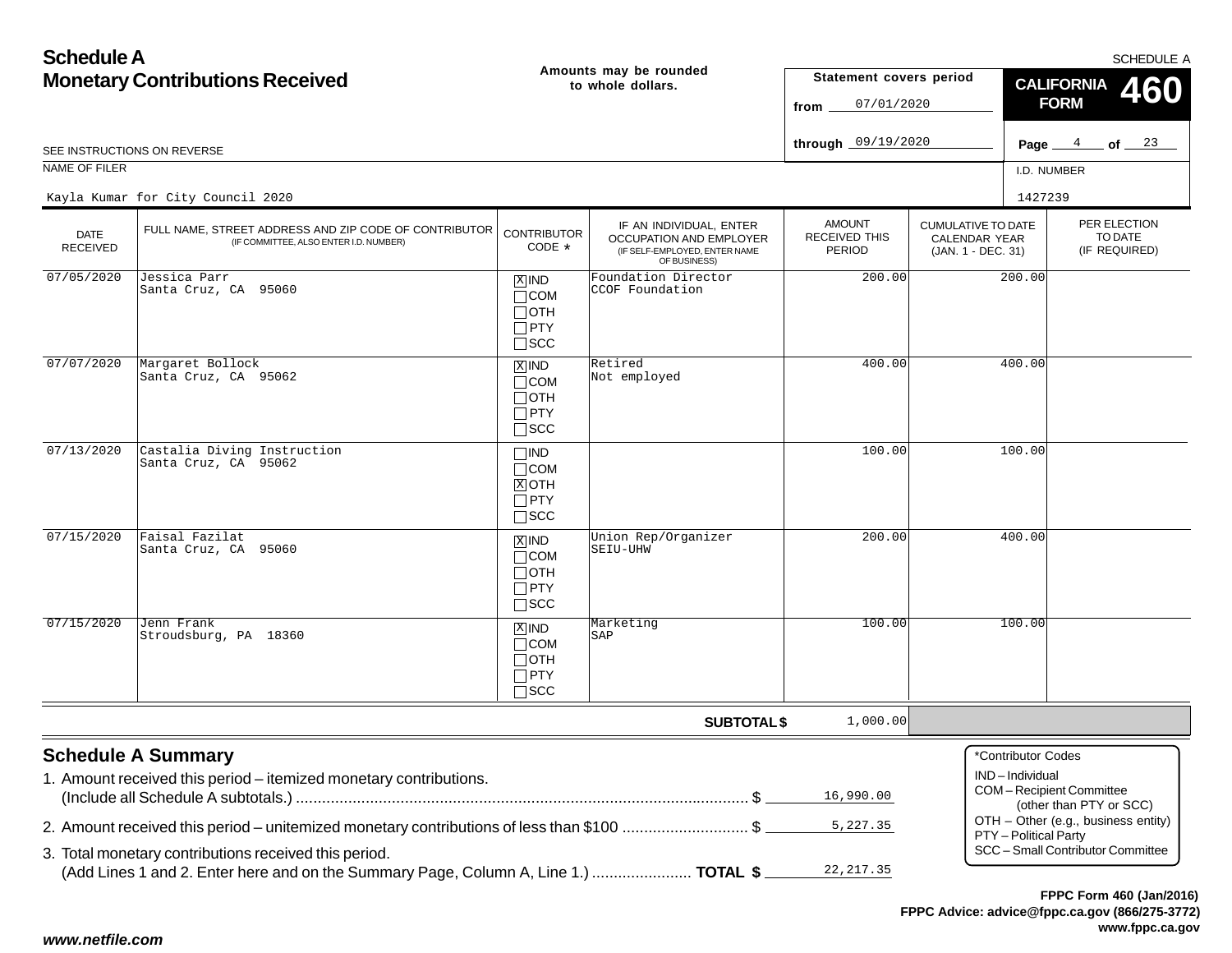| <b>Schedule A</b>                      |                                                                                                                                               |                                                                    |                                                                                                     |                                                        |                                                                  |                                      | <b>SCHEDULE A</b>                                  |  |
|----------------------------------------|-----------------------------------------------------------------------------------------------------------------------------------------------|--------------------------------------------------------------------|-----------------------------------------------------------------------------------------------------|--------------------------------------------------------|------------------------------------------------------------------|--------------------------------------|----------------------------------------------------|--|
| <b>Monetary Contributions Received</b> |                                                                                                                                               |                                                                    | Amounts may be rounded<br>to whole dollars.                                                         | Statement covers period<br>07/01/2020<br>from          |                                                                  | <b>CALIFORNIA</b><br><b>FORM</b>     |                                                    |  |
|                                        | SEE INSTRUCTIONS ON REVERSE                                                                                                                   |                                                                    |                                                                                                     | through 09/19/2020                                     |                                                                  | Page _                               | 4<br>$\_$ of $\_$ $^{23}$                          |  |
| NAME OF FILER                          |                                                                                                                                               |                                                                    |                                                                                                     |                                                        |                                                                  | I.D. NUMBER                          |                                                    |  |
|                                        | Kayla Kumar for City Council 2020                                                                                                             |                                                                    |                                                                                                     |                                                        |                                                                  | 1427239                              |                                                    |  |
| <b>DATE</b><br><b>RECEIVED</b>         | FULL NAME, STREET ADDRESS AND ZIP CODE OF CONTRIBUTOR<br>(IF COMMITTEE, ALSO ENTER I.D. NUMBER)                                               | <b>CONTRIBUTOR</b><br>CODE *                                       | IF AN INDIVIDUAL, ENTER<br>OCCUPATION AND EMPLOYER<br>(IF SELF-EMPLOYED, ENTER NAME<br>OF BUSINESS) | <b>AMOUNT</b><br><b>RECEIVED THIS</b><br><b>PERIOD</b> | <b>CUMULATIVE TO DATE</b><br>CALENDAR YEAR<br>(JAN. 1 - DEC. 31) |                                      | PER ELECTION<br>TO DATE<br>(IF REQUIRED)           |  |
| 07/05/2020                             | Jessica Parr<br>Santa Cruz, CA 95060                                                                                                          | $X$ IND<br>$\Box$ COM<br>$\Box$ OTH<br>$\Box$ PTY<br>$\square$ SCC | Foundation Director<br>CCOF Foundation                                                              | 200.00                                                 |                                                                  | 200.00                               |                                                    |  |
| 07/07/2020                             | Margaret Bollock<br>Santa Cruz, CA 95062                                                                                                      | $X$ IND<br>$\Box$ COM<br>$\Box$ OTH<br>$\Box$ PTY<br>$\square$ SCC | Retired<br>Not employed                                                                             | 400.00                                                 |                                                                  | 400.00                               |                                                    |  |
| 07/13/2020                             | Castalia Diving Instruction<br>Santa Cruz, CA 95062                                                                                           | $\Box$ IND<br>$\Box$ COM<br>$X$ OTH<br>$\Box$ PTY<br>$\Box$ SCC    |                                                                                                     | 100.00                                                 |                                                                  | 100.00                               |                                                    |  |
| 07/15/2020                             | Faisal Fazilat<br>Santa Cruz, CA 95060                                                                                                        | $X$ IND<br>$\Box$ COM<br>$\Box$ OTH<br>$\Box$ PTY<br>$\square$ SCC | Union Rep/Organizer<br>SEIU-UHW                                                                     | 200.00                                                 |                                                                  | 400.00                               |                                                    |  |
| 07/15/2020                             | Jenn Frank<br>Stroudsburg, PA 18360                                                                                                           | $X$ IND<br>$\Box$ COM<br>$\Box$ OTH<br>$\Box$ PTY<br>$\square$ SCC | Marketing<br>SAP                                                                                    | 100.00                                                 |                                                                  | 100.00                               |                                                    |  |
|                                        |                                                                                                                                               |                                                                    | <b>SUBTOTAL \$</b>                                                                                  | 1,000.00                                               |                                                                  |                                      |                                                    |  |
|                                        | <b>Schedule A Summary</b><br>1. Amount received this period - itemized monetary contributions.                                                |                                                                    |                                                                                                     | 16,990.00                                              |                                                                  | *Contributor Codes<br>IND-Individual | COM-Recipient Committee<br>(other than PTY or SCC) |  |
|                                        | 2. Amount received this period – unitemized monetary contributions of less than \$100 \$                                                      |                                                                    |                                                                                                     | 5,227.35                                               |                                                                  | PTY - Political Party                | OTH - Other (e.g., business entity)                |  |
|                                        | 3. Total monetary contributions received this period.<br>(Add Lines 1 and 2. Enter here and on the Summary Page, Column A, Line 1.)  TOTAL \$ |                                                                    |                                                                                                     | 22, 217.35                                             |                                                                  |                                      | SCC - Small Contributor Committee                  |  |
|                                        |                                                                                                                                               |                                                                    |                                                                                                     |                                                        |                                                                  |                                      | FPPC Form 460 (Jan/2016)                           |  |

#### *www.netfile.com*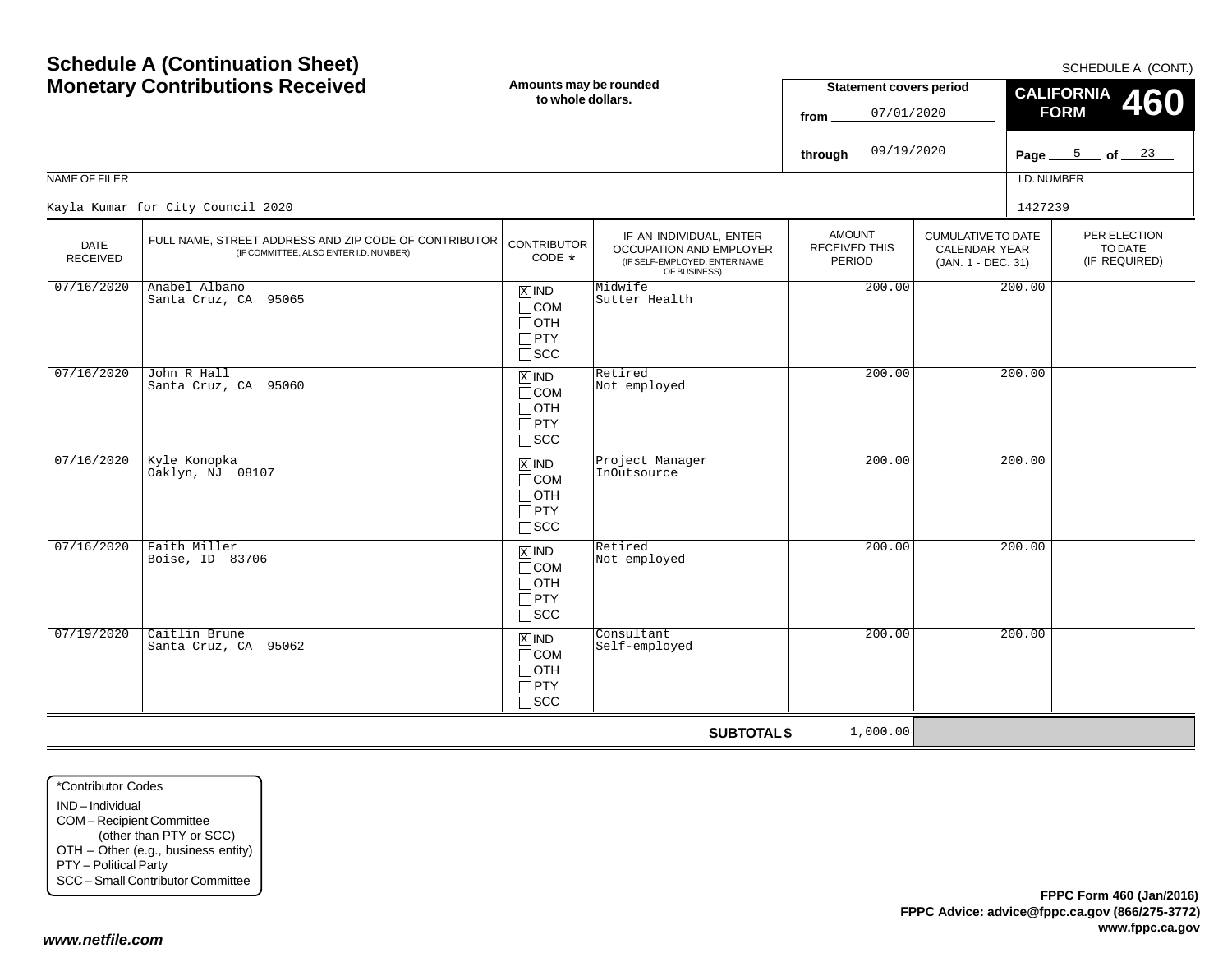| <b>Monetary Contributions Received</b> |                                                                                                 | Amounts may be rounded<br>to whole dollars.                                       |                                                                                                     | <b>Statement covers period</b><br>07/01/2020<br>from |                                                                         | <b>CALIFORNIA</b><br>460<br><b>FORM</b> |                                          |
|----------------------------------------|-------------------------------------------------------------------------------------------------|-----------------------------------------------------------------------------------|-----------------------------------------------------------------------------------------------------|------------------------------------------------------|-------------------------------------------------------------------------|-----------------------------------------|------------------------------------------|
|                                        |                                                                                                 |                                                                                   |                                                                                                     | 09/19/2020<br>through_                               |                                                                         |                                         | Page $5$ of $23$                         |
| NAME OF FILER                          |                                                                                                 |                                                                                   |                                                                                                     |                                                      |                                                                         | I.D. NUMBER                             |                                          |
|                                        | Kayla Kumar for City Council 2020                                                               |                                                                                   |                                                                                                     |                                                      |                                                                         | 1427239                                 |                                          |
| <b>DATE</b><br><b>RECEIVED</b>         | FULL NAME, STREET ADDRESS AND ZIP CODE OF CONTRIBUTOR<br>(IF COMMITTEE, ALSO ENTER I.D. NUMBER) | <b>CONTRIBUTOR</b><br>CODE *                                                      | IF AN INDIVIDUAL, ENTER<br>OCCUPATION AND EMPLOYER<br>(IF SELF-EMPLOYED, ENTER NAME<br>OF BUSINESS) | <b>AMOUNT</b><br><b>RECEIVED THIS</b><br>PERIOD      | <b>CUMULATIVE TO DATE</b><br><b>CALENDAR YEAR</b><br>(JAN. 1 - DEC. 31) |                                         | PER ELECTION<br>TO DATE<br>(IF REQUIRED) |
| 07/16/2020                             | Anabel Albano<br>Santa Cruz, CA 95065                                                           | $\boxed{\text{X}}$ IND<br>$\Box$ COM<br>$\Box$ OTH<br>$\Box$ PTY<br>$\square$ SCC | Midwife<br>Sutter Health                                                                            | 200.00                                               |                                                                         | 200.00                                  |                                          |
| 07/16/2020                             | John R Hall<br>Santa Cruz, CA 95060                                                             | $X$ IND<br>$\Box$ COM<br>$\Box$ OTH<br>$\Box$ PTY<br>$\square$ SCC                | Retired<br>Not employed                                                                             | 200.00                                               |                                                                         | 200.00                                  |                                          |
| 07/16/2020                             | Kyle Konopka<br>Oaklyn, NJ 08107                                                                | $\overline{X}$ IND<br>$\Box$ COM<br>$\Box$ OTH<br>$\Box$ PTY<br>$\square$ SCC     | Project Manager<br>InOutsource                                                                      | 200.00                                               |                                                                         | 200.00                                  |                                          |
| 07/16/2020                             | Faith Miller<br>Boise, ID 83706                                                                 | $\boxed{\text{X}}$ IND<br>$\Box$ COM<br>$\Box$ OTH<br>$\Box$ PTY<br>$\square$ SCC | Retired<br>Not employed                                                                             | 200.00                                               |                                                                         | 200.00                                  |                                          |
| 07/19/2020                             | Caitlin Brune<br>Santa Cruz, CA 95062                                                           | $X$ IND<br>$\Box$ COM<br>$\Box$ OTH<br>$\Box$ PTY<br>$\Box$ SCC                   | Consultant<br>Self-employed                                                                         | 200.00                                               |                                                                         | 200.00                                  |                                          |
|                                        |                                                                                                 |                                                                                   | <b>SUBTOTAL \$</b>                                                                                  | 1,000.00                                             |                                                                         |                                         |                                          |

\*Contributor CodesIND – Individual COM – Recipient Committee (other than PTY or SCC) OTH – Other (e.g., business entity) PTY – Political Party SCC – Small Contributor Committee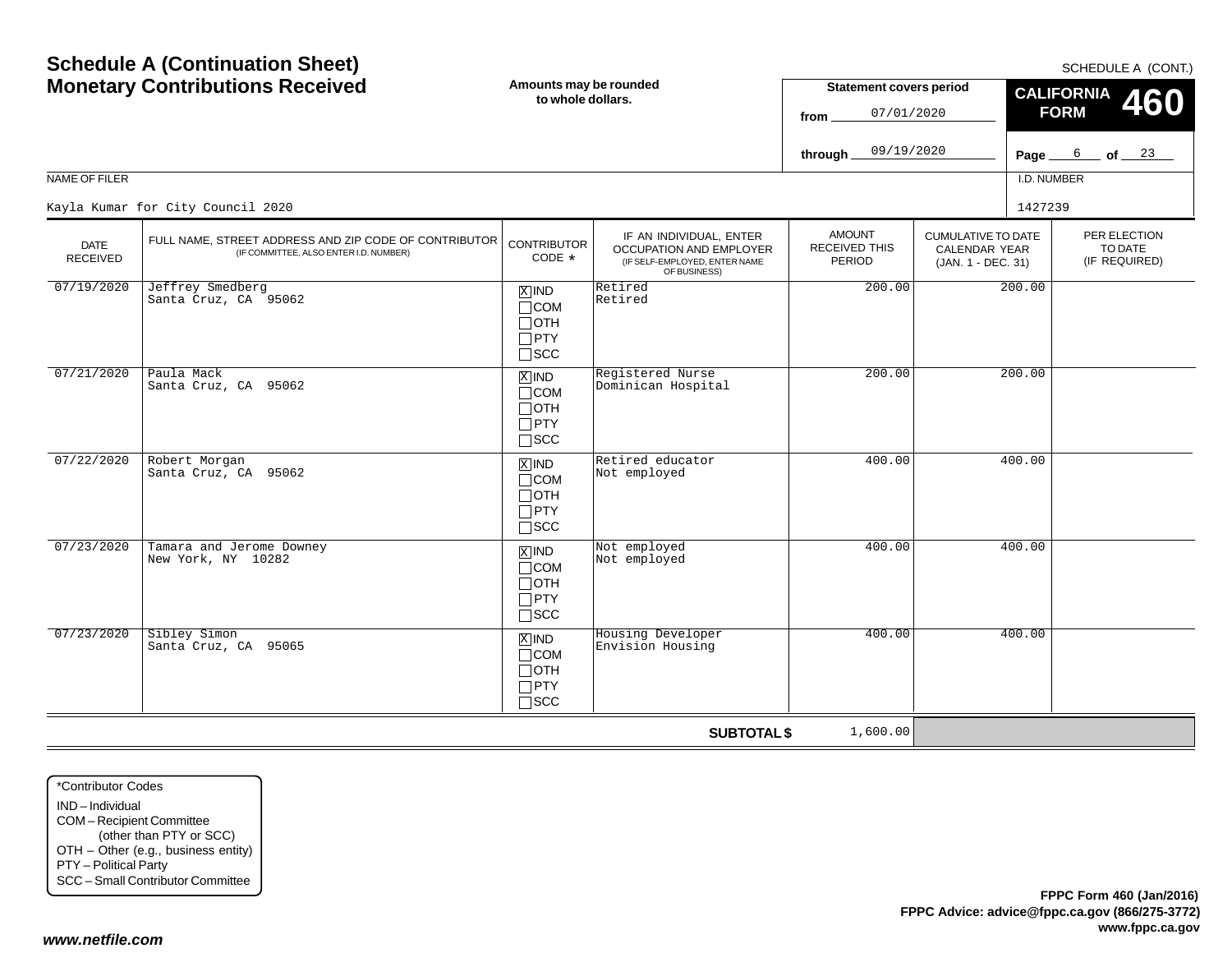**www.fppc.ca.gov**

|                                |                                                                                                 |                                                                                   |                                                                                                     | 07/01/2020<br>from                              |                                                                         | <b>FORM</b> | TVV                                      |
|--------------------------------|-------------------------------------------------------------------------------------------------|-----------------------------------------------------------------------------------|-----------------------------------------------------------------------------------------------------|-------------------------------------------------|-------------------------------------------------------------------------|-------------|------------------------------------------|
|                                |                                                                                                 |                                                                                   |                                                                                                     | 09/19/2020<br>through_                          |                                                                         | Page        | $6$ of $23$                              |
| NAME OF FILER                  |                                                                                                 |                                                                                   |                                                                                                     |                                                 |                                                                         | I.D. NUMBER |                                          |
|                                | Kayla Kumar for City Council 2020                                                               |                                                                                   |                                                                                                     |                                                 |                                                                         | 1427239     |                                          |
| <b>DATE</b><br><b>RECEIVED</b> | FULL NAME, STREET ADDRESS AND ZIP CODE OF CONTRIBUTOR<br>(IF COMMITTEE, ALSO ENTER I.D. NUMBER) | <b>CONTRIBUTOR</b><br>CODE *                                                      | IF AN INDIVIDUAL, ENTER<br>OCCUPATION AND EMPLOYER<br>(IF SELF-EMPLOYED, ENTER NAME<br>OF BUSINESS) | <b>AMOUNT</b><br><b>RECEIVED THIS</b><br>PERIOD | <b>CUMULATIVE TO DATE</b><br><b>CALENDAR YEAR</b><br>(JAN. 1 - DEC. 31) |             | PER ELECTION<br>TO DATE<br>(IF REQUIRED) |
| 07/19/2020                     | Jeffrey Smedberg<br>Santa Cruz, CA 95062                                                        | $X$ IND<br>$\Box$ COM<br>$\Box$ OTH<br>$\Box$ PTY<br>$\square$ SCC                | Retired<br>Retired                                                                                  | 200.00                                          |                                                                         | 200.00      |                                          |
| 07/21/2020                     | Paula Mack<br>Santa Cruz, CA 95062                                                              | $X$ IND<br>$\Box$ COM<br>$\Box$ OTH<br>$\Box$ PTY<br>$\Box$ SCC                   | Registered Nurse<br>Dominican Hospital                                                              | 200.00                                          |                                                                         | 200.00      |                                          |
| 07/22/2020                     | Robert Morgan<br>Santa Cruz, CA 95062                                                           | $\Sigma$ IND<br>$\Box$ COM<br>$\Box$ OTH<br>$\Box$ PTY<br>$\Box$ scc              | Retired educator<br>Not employed                                                                    | 400.00                                          |                                                                         | 400.00      |                                          |
| 07/23/2020                     | Tamara and Jerome Downey<br>New York, NY 10282                                                  | $\boxed{\text{X}}$ IND<br>$\Box$ COM<br>$\Box$ OTH<br>$\Box$ PTY<br>$\square$ SCC | Not employed<br>Not employed                                                                        | 400.00                                          |                                                                         | 400.00      |                                          |
| 07/23/2020                     | Sibley Simon<br>Santa Cruz, CA 95065                                                            | $X$ IND<br>$\Box$ COM<br>$\Box$ OTH<br>$\Box$ PTY<br>$\square$ SCC                | Housing Developer<br>Envision Housing                                                               | 400.00                                          |                                                                         | 400.00      |                                          |
|                                |                                                                                                 |                                                                                   | <b>SUBTOTAL \$</b>                                                                                  | 1,600.00                                        |                                                                         |             |                                          |

#### SCHEDULE A (CONT.)

**CALIFORNIA FORM 460**

**Statement covers period**

07/01/2020

# **Schedule A (Continuation Sheet) Monetary Contributions Received**

**Amounts may be rounded to whole dollars.**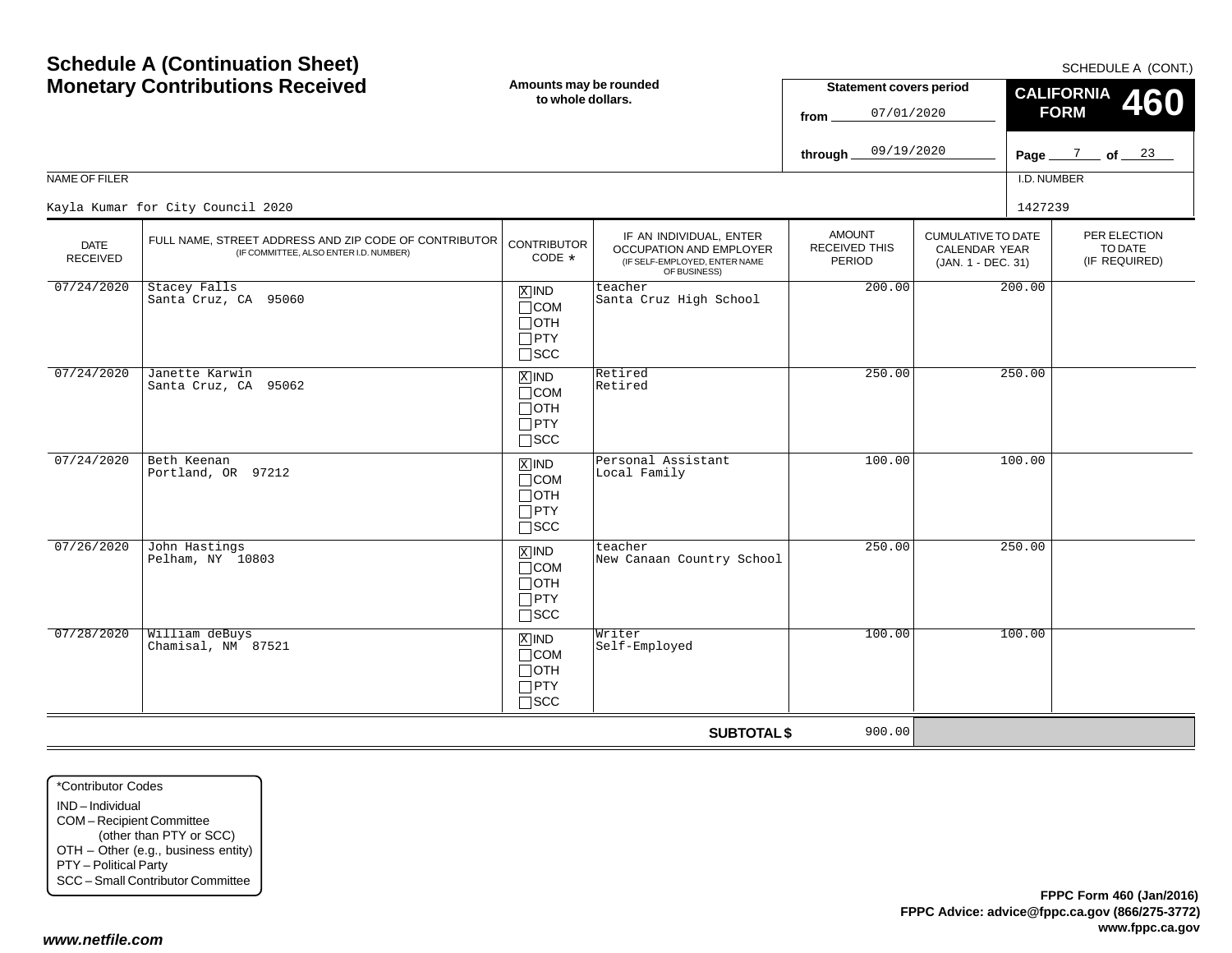| <b>NAME OF FILER</b>           | <b>Schedule A (Continuation Sheet)</b><br><b>Monetary Contributions Received</b>                | Amounts may be rounded<br>to whole dollars.                                         |                                                                                                     | <b>Statement covers period</b><br>07/01/2020<br>from<br>09/19/2020<br>through |                                                                         | SCHEDULE A (CONT.)<br><b>CALIFORNIA</b><br>460<br><b>FORM</b><br>Page $\frac{7}{2}$ of $\frac{23}{2}$<br>I.D. NUMBER |                                          |
|--------------------------------|-------------------------------------------------------------------------------------------------|-------------------------------------------------------------------------------------|-----------------------------------------------------------------------------------------------------|-------------------------------------------------------------------------------|-------------------------------------------------------------------------|----------------------------------------------------------------------------------------------------------------------|------------------------------------------|
|                                | Kayla Kumar for City Council 2020                                                               |                                                                                     |                                                                                                     |                                                                               |                                                                         | 1427239                                                                                                              |                                          |
| <b>DATE</b><br><b>RECEIVED</b> | FULL NAME, STREET ADDRESS AND ZIP CODE OF CONTRIBUTOR<br>(IF COMMITTEE, ALSO ENTER I.D. NUMBER) | <b>CONTRIBUTOR</b><br>CODE *                                                        | IF AN INDIVIDUAL, ENTER<br>OCCUPATION AND EMPLOYER<br>(IF SELF-EMPLOYED, ENTER NAME<br>OF BUSINESS) | <b>AMOUNT</b><br><b>RECEIVED THIS</b><br>PERIOD                               | <b>CUMULATIVE TO DATE</b><br><b>CALENDAR YEAR</b><br>(JAN. 1 - DEC. 31) |                                                                                                                      | PER ELECTION<br>TO DATE<br>(IF REQUIRED) |
| 07/24/2020                     | Stacey Falls<br>Santa Cruz, CA 95060                                                            | $X$ IND<br>$\Box$ COM<br>$\Box$ oth<br>$\Box$ PTY<br>$\square$ SCC                  | teacher<br>Santa Cruz High School                                                                   | 200.00                                                                        | 200.00                                                                  |                                                                                                                      |                                          |
| 07/24/2020                     | Janette Karwin<br>Santa Cruz, CA 95062                                                          | $X$ IND<br>$\sqcap$ COM<br>$\Box$ OTH<br>$\Box$ PTY<br>$\Box$ SCC                   | Retired<br>Retired                                                                                  | 250.00                                                                        |                                                                         | 250.00                                                                                                               |                                          |
| 07/24/2020                     | Beth Keenan<br>Portland, OR 97212                                                               | $X$ IND<br>$\Box$ COM<br>$\Box$ OTH<br>$\Box$ PTY<br>$\Box$ scc                     | Personal Assistant<br>Local Family                                                                  | 100.00                                                                        |                                                                         | 100.00                                                                                                               |                                          |
| 07/26/2020                     | John Hastings<br>Pelham, NY 10803                                                               | $\boxed{\text{X}}$ IND<br>$\sqcap$ COM<br>$\Box$ OTH<br>$\Box$ PTY<br>$\square$ scc | teacher<br>New Canaan Country School                                                                | 250.00                                                                        |                                                                         | 250.00                                                                                                               |                                          |
| 07/28/2020                     | William deBuys<br>Chamisal, NM 87521                                                            | $X$ IND<br>$\sqcap$ COM<br>$\Box$ OTH<br>$\Box$ PTY<br>$\sqcap$ scc                 | Writer<br>Self-Employed                                                                             | 100.00                                                                        |                                                                         | 100.00                                                                                                               |                                          |
|                                |                                                                                                 |                                                                                     | <b>SUBTOTAL \$</b>                                                                                  | 900.00                                                                        |                                                                         |                                                                                                                      |                                          |

\*Contributor CodesIND – IndividualCOM – Recipient Committee (other than PTY or SCC) OTH – Other (e.g., business entity) PTY – Political Party SCC – Small Contributor Committee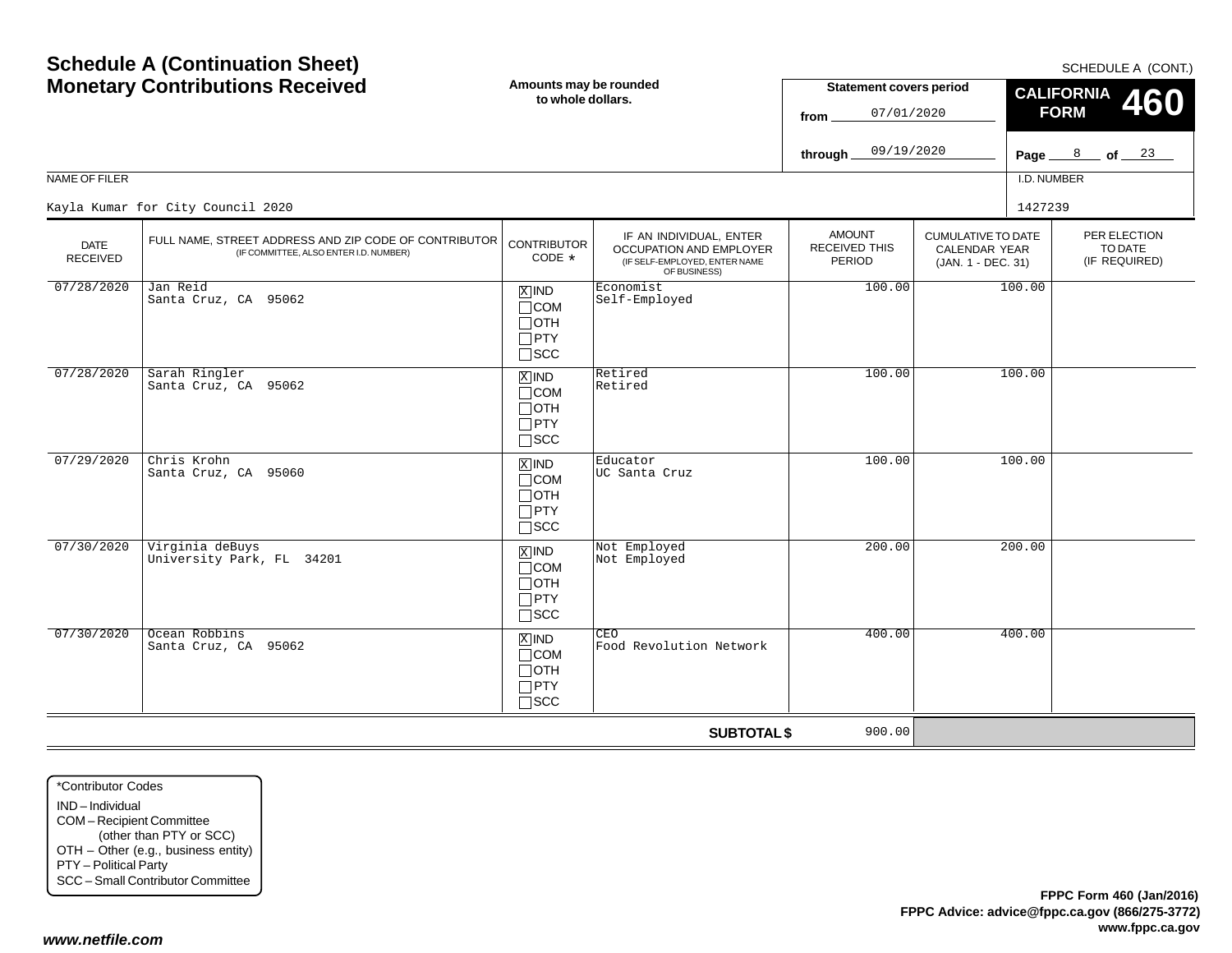| NAME OF FILER                  | <b>Schedule A (Continuation Sheet)</b><br><b>Monetary Contributions Received</b><br>Amounts may be rounded<br>to whole dollars. |                                                                    |                                                                                                     | <b>Statement covers period</b><br>07/01/2020<br>from<br>09/19/2020<br>through |                                                                         | SCHEDULE A (CONT.)<br><b>CALIFORNIA</b><br>460<br><b>FORM</b><br>Page $\frac{8}{2}$ of $\frac{23}{4}$<br>I.D. NUMBER |  |                                          |  |
|--------------------------------|---------------------------------------------------------------------------------------------------------------------------------|--------------------------------------------------------------------|-----------------------------------------------------------------------------------------------------|-------------------------------------------------------------------------------|-------------------------------------------------------------------------|----------------------------------------------------------------------------------------------------------------------|--|------------------------------------------|--|
|                                | Kayla Kumar for City Council 2020                                                                                               |                                                                    |                                                                                                     |                                                                               |                                                                         | 1427239                                                                                                              |  |                                          |  |
| <b>DATE</b><br><b>RECEIVED</b> | FULL NAME, STREET ADDRESS AND ZIP CODE OF CONTRIBUTOR<br>(IF COMMITTEE, ALSO ENTER I.D. NUMBER)                                 | <b>CONTRIBUTOR</b><br>CODE *                                       | IF AN INDIVIDUAL, ENTER<br>OCCUPATION AND EMPLOYER<br>(IF SELF-EMPLOYED, ENTER NAME<br>OF BUSINESS) | <b>AMOUNT</b><br><b>RECEIVED THIS</b><br>PERIOD                               | <b>CUMULATIVE TO DATE</b><br><b>CALENDAR YEAR</b><br>(JAN. 1 - DEC. 31) |                                                                                                                      |  | PER ELECTION<br>TO DATE<br>(IF REQUIRED) |  |
| 07/28/2020                     | Jan Reid<br>Santa Cruz, CA 95062                                                                                                | $X$ IND<br>$\Box$ COM<br>⊟отн<br>$\Box$ PTY<br>$\square$ SCC       | Economist<br>Self-Employed                                                                          | 100.00                                                                        |                                                                         | 100.00                                                                                                               |  |                                          |  |
| 07/28/2020                     | Sarah Ringler<br>Santa Cruz, CA 95062                                                                                           | $X$ IND<br>$\Box$ COM<br>$\Box$ OTH<br>$\Box$ PTY<br>$\Box$ scc    | Retired<br>Retired                                                                                  | 100.00                                                                        |                                                                         | 100.00                                                                                                               |  |                                          |  |
| 07/29/2020                     | Chris Krohn<br>Santa Cruz, CA 95060                                                                                             | $X$ IND<br>$\Box$ COM<br>$\Box$ OTH<br>$\Box$ PTY<br>$\Box$ scc    | Educator<br>UC Santa Cruz                                                                           | 100.00                                                                        |                                                                         | 100.00                                                                                                               |  |                                          |  |
| 07/30/2020                     | Virginia deBuys<br>University Park, FL 34201                                                                                    | $X$ IND<br>$\Box$ COM<br>$\Box$ oth<br>$\Box$ PTY<br>$\square$ scc | Not Employed<br>Not Employed                                                                        | 200.00                                                                        |                                                                         | 200.00                                                                                                               |  |                                          |  |
| 07/30/2020                     | Ocean Robbins<br>Santa Cruz, CA 95062                                                                                           | $X$ IND<br>$\Box$ COM<br>$\Box$ OTH<br>$\Box$ PTY<br>$\sqcap$ SCC  | CEO<br>Food Revolution Network                                                                      | 400.00                                                                        |                                                                         | 400.00                                                                                                               |  |                                          |  |
|                                |                                                                                                                                 |                                                                    | <b>SUBTOTAL \$</b>                                                                                  | 900.00                                                                        |                                                                         |                                                                                                                      |  |                                          |  |

\*Contributor CodesIND – IndividualCOM – Recipient Committee (other than PTY or SCC) OTH – Other (e.g., business entity) PTY – Political Party SCC – Small Contributor Committee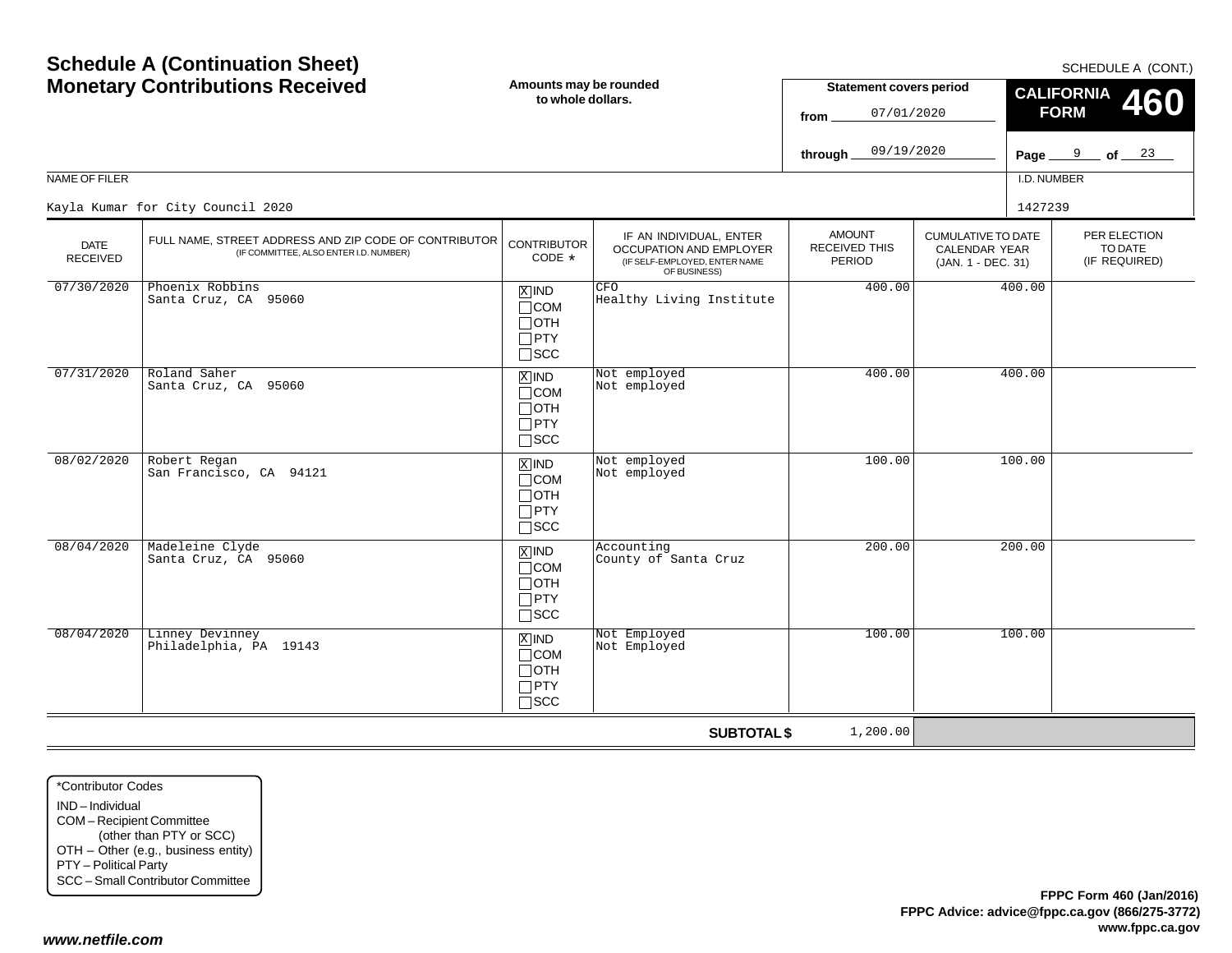| <b>Monetary Contributions Received</b> |                                                                                                 | Amounts may be rounded<br>to whole dollars.                                       |                                                                                                     | <b>Statement covers period</b><br>07/01/2020<br>from   |                                                                  | <b>CALIFORNIA</b><br>460<br><b>FORM</b> |                                          |  |
|----------------------------------------|-------------------------------------------------------------------------------------------------|-----------------------------------------------------------------------------------|-----------------------------------------------------------------------------------------------------|--------------------------------------------------------|------------------------------------------------------------------|-----------------------------------------|------------------------------------------|--|
|                                        |                                                                                                 |                                                                                   |                                                                                                     | 09/19/2020<br>through.                                 |                                                                  |                                         | Page $9$ of $23$                         |  |
| <b>NAME OF FILER</b>                   |                                                                                                 |                                                                                   |                                                                                                     |                                                        |                                                                  | I.D. NUMBER                             |                                          |  |
|                                        | Kayla Kumar for City Council 2020                                                               |                                                                                   |                                                                                                     |                                                        |                                                                  | 1427239                                 |                                          |  |
| <b>DATE</b><br>RECEIVED                | FULL NAME, STREET ADDRESS AND ZIP CODE OF CONTRIBUTOR<br>(IF COMMITTEE, ALSO ENTER I.D. NUMBER) | <b>CONTRIBUTOR</b><br>CODE *                                                      | IF AN INDIVIDUAL, ENTER<br>OCCUPATION AND EMPLOYER<br>(IF SELF-EMPLOYED, ENTER NAME<br>OF BUSINESS) | <b>AMOUNT</b><br><b>RECEIVED THIS</b><br><b>PERIOD</b> | <b>CUMULATIVE TO DATE</b><br>CALENDAR YEAR<br>(JAN. 1 - DEC. 31) |                                         | PER ELECTION<br>TO DATE<br>(IF REQUIRED) |  |
| 07/30/2020                             | Phoenix Robbins<br>Santa Cruz, CA 95060                                                         | $X$ IND<br>$\Box$ COM<br>$\Box$ OTH<br>$\Box$ PTY<br>$\square$ SCC                | CFO<br>Healthy Living Institute                                                                     | 400.00                                                 |                                                                  | 400.00                                  |                                          |  |
| 07/31/2020                             | Roland Saher<br>Santa Cruz, CA 95060                                                            | $X$ IND<br>$\Box$ COM<br>$\Box$ OTH<br>$\Box$ PTY<br>$\square$ SCC                | Not employed<br>Not employed                                                                        | 400.00                                                 |                                                                  | 400.00                                  |                                          |  |
| 08/02/2020                             | Robert Regan<br>San Francisco, CA 94121                                                         | $X$ IND<br>$\Box$ COM<br>$\Box$ OTH<br>$\Box$ PTY<br>$\Box$ scc                   | Not employed<br>Not employed                                                                        | 100.00                                                 |                                                                  | 100.00                                  |                                          |  |
| 08/04/2020                             | Madeleine Clyde<br>Santa Cruz, CA 95060                                                         | $\boxed{\text{X}}$ IND<br>$\Box$ COM<br>$\Box$ OTH<br>$\Box$ PTY<br>$\square$ SCC | Accounting<br>County of Santa Cruz                                                                  | 200.00                                                 |                                                                  | 200.00                                  |                                          |  |
| 08/04/2020                             | Linney Devinney<br>Philadelphia, PA 19143                                                       | $X$ IND<br>$\Box$ COM<br>$\Box$ OTH<br>$\Box$ PTY<br>$\Box$ scc                   | Not Employed<br>Not Employed                                                                        | 100.00                                                 |                                                                  | 100.00                                  |                                          |  |
|                                        |                                                                                                 |                                                                                   | <b>SUBTOTAL \$</b>                                                                                  | 1,200.00                                               |                                                                  |                                         |                                          |  |

\*Contributor CodesIND – Individual COM – Recipient Committee (other than PTY or SCC) OTH – Other (e.g., business entity) PTY – Political Party SCC – Small Contributor Committee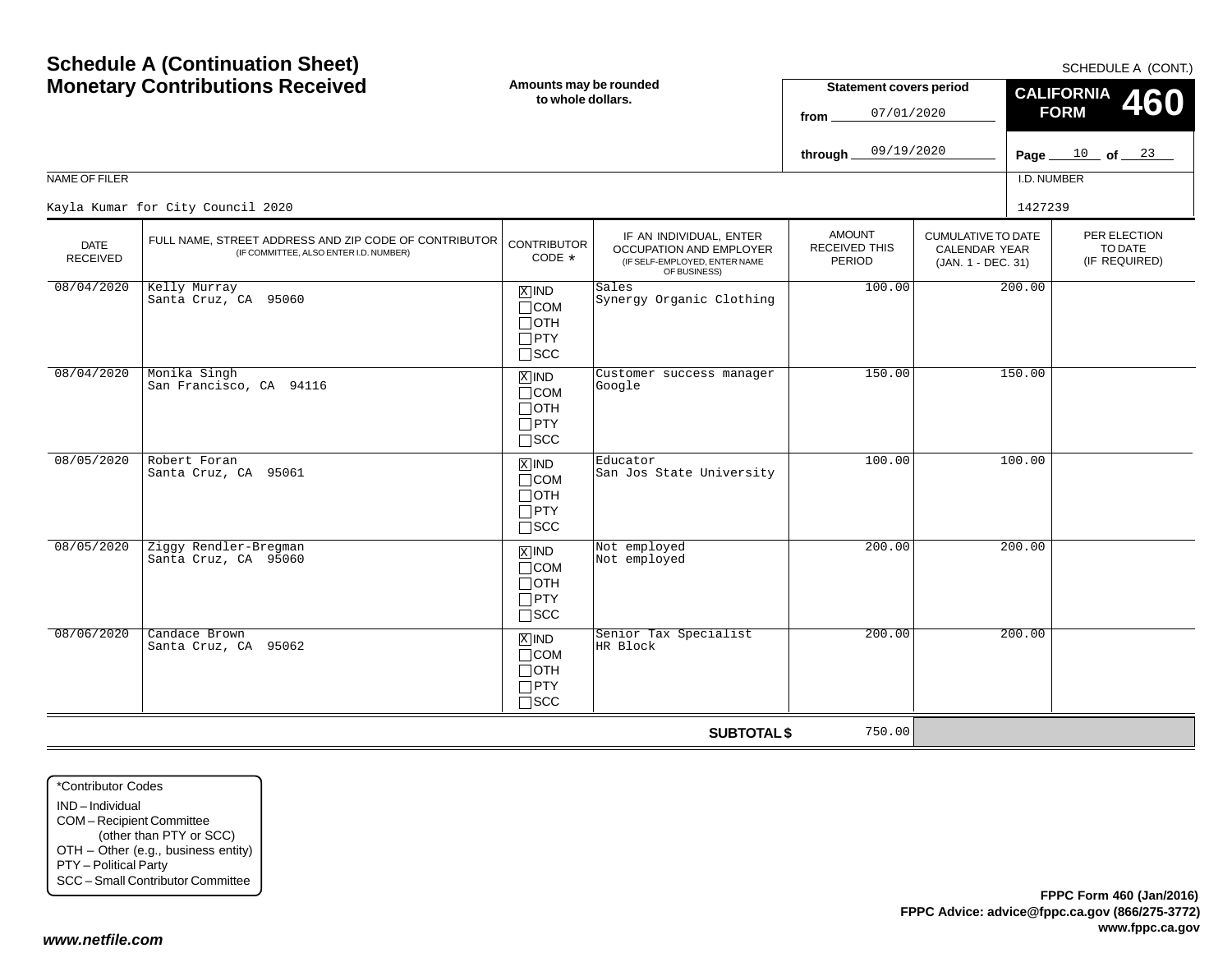| <b>NAME OF FILER</b>           | <b>Schedule A (Continuation Sheet)</b><br><b>Monetary Contributions Received</b>                | Amounts may be rounded<br>to whole dollars.                        |                                                                                                     | <b>Statement covers period</b><br>07/01/2020<br>from<br>09/19/2020<br>through. |                                                                         | Page_<br>I.D. NUMBER | SCHEDULE A (CONT.)<br><b>CALIFORNIA</b><br>460<br><b>FORM</b><br>$\frac{10}{10}$ of $\frac{23}{10}$ |
|--------------------------------|-------------------------------------------------------------------------------------------------|--------------------------------------------------------------------|-----------------------------------------------------------------------------------------------------|--------------------------------------------------------------------------------|-------------------------------------------------------------------------|----------------------|-----------------------------------------------------------------------------------------------------|
|                                | Kayla Kumar for City Council 2020                                                               |                                                                    |                                                                                                     |                                                                                |                                                                         | 1427239              |                                                                                                     |
| <b>DATE</b><br><b>RECEIVED</b> | FULL NAME, STREET ADDRESS AND ZIP CODE OF CONTRIBUTOR<br>(IF COMMITTEE, ALSO ENTER I.D. NUMBER) | <b>CONTRIBUTOR</b><br>CODE *                                       | IF AN INDIVIDUAL, ENTER<br>OCCUPATION AND EMPLOYER<br>(IF SELF-EMPLOYED, ENTER NAME<br>OF BUSINESS) | <b>AMOUNT</b><br><b>RECEIVED THIS</b><br>PERIOD                                | <b>CUMULATIVE TO DATE</b><br><b>CALENDAR YEAR</b><br>(JAN. 1 - DEC. 31) |                      | PER ELECTION<br>TO DATE<br>(IF REQUIRED)                                                            |
| 08/04/2020                     | Kelly Murray<br>Santa Cruz, CA 95060                                                            | $X$ IND<br>$\Box$ COM<br>$\Box$ OTH<br>$\Box$ PTY<br>$\square$ SCC | Sales<br>Synergy Organic Clothing                                                                   | 100.00                                                                         |                                                                         | 200.00               |                                                                                                     |
| 08/04/2020                     | Monika Singh<br>San Francisco, CA 94116                                                         | $X$ IND<br>$\Box$ COM<br>$\Box$ OTH<br>$\Box$ PTY<br>$\square$ scc | Customer success manager<br>Google                                                                  | 150.00                                                                         |                                                                         | 150.00               |                                                                                                     |
| 08/05/2020                     | Robert Foran<br>Santa Cruz, CA 95061                                                            | $X$ IND<br>$\Box$ COM<br>$\Box$ OTH<br>$\Box$ PTY<br>$\Box$ scc    | Educator<br>San Jos State University                                                                | 100.00                                                                         |                                                                         | 100.00               |                                                                                                     |
| 08/05/2020                     | Ziggy Rendler-Bregman<br>Santa Cruz, CA 95060                                                   | $X$ IND<br>$\Box$ COM<br>$\Box$ OTH<br>$\Box$ PTY<br>$\square$ scc | Not employed<br>Not employed                                                                        | 200.00                                                                         |                                                                         | 200.00               |                                                                                                     |
| 08/06/2020                     | Candace Brown<br>Santa Cruz, CA 95062                                                           | $X$ IND<br>$\Box$ COM<br>$\Box$ OTH<br>$\Box$ PTY<br>$\Box$ SCC    | Senior Tax Specialist<br>HR Block                                                                   | 200.00                                                                         |                                                                         | 200.00               |                                                                                                     |
|                                |                                                                                                 |                                                                    | <b>SUBTOTAL \$</b>                                                                                  | 750.00                                                                         |                                                                         |                      |                                                                                                     |

\*Contributor CodesIND – IndividualCOM – Recipient Committee (other than PTY or SCC) OTH – Other (e.g., business entity) PTY – Political Party SCC – Small Contributor Committee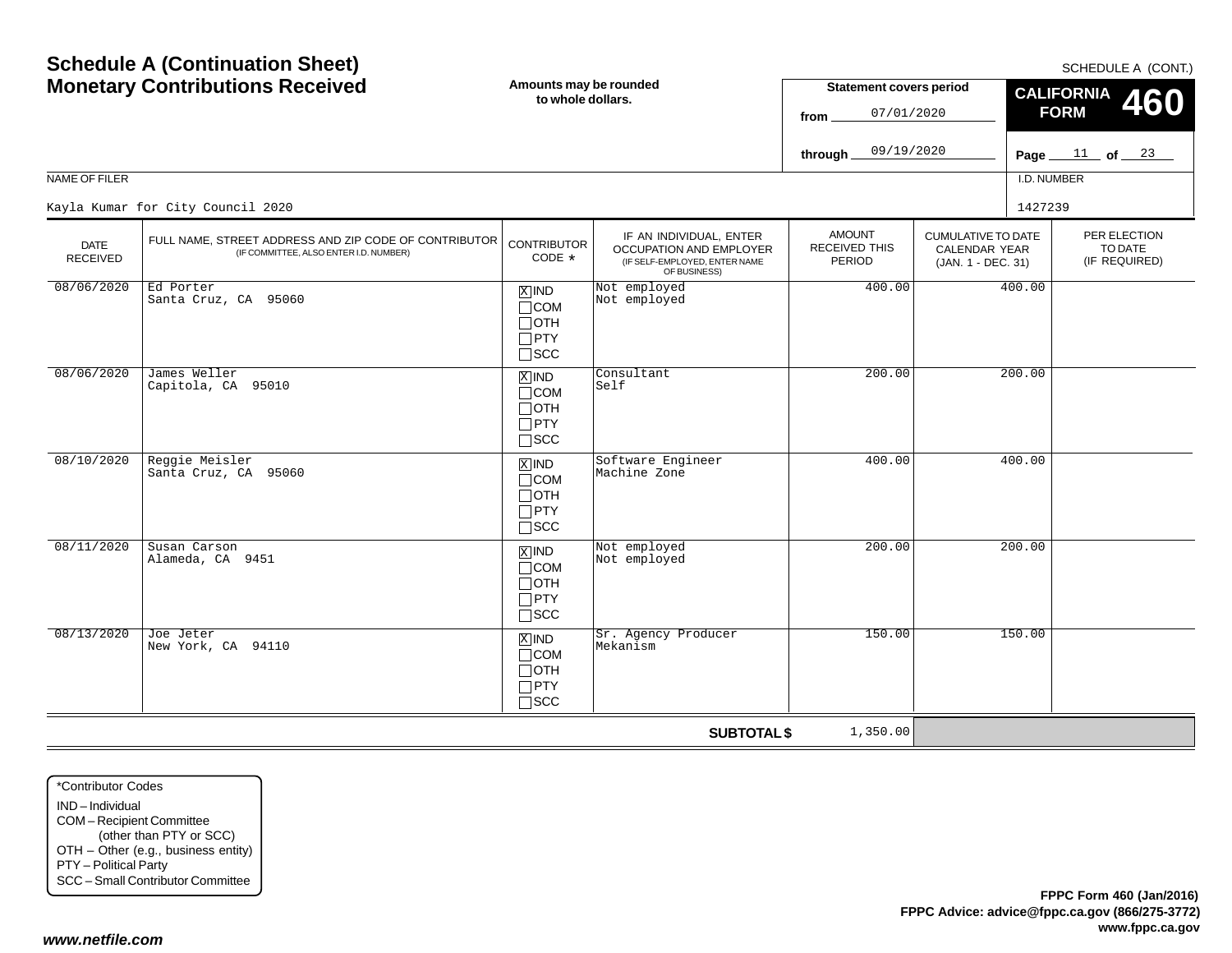#### Page <u>\_\_\_ 11 \_</u> of <u>\_\_\_ 23</u> NAME OF FILERI.D. NUMBER**through** CUMULATIVE TO DATECALENDAR YEAR (JAN. 1 - DEC. 31) AMOUNTRECEIVED THISPERIODIF AN INDIVIDUAL, ENTER OCCUPATION AND EMPLOYER (IF SELF-EMPLOYED, ENTER NAME OF BUSINESS) DATE RECEIVED**SUBTOTAL \$** FULL NAME, STREET ADDRESS AND ZIP CODE OF CONTRIBUTOR (IF COMMITTEE, ALSO ENTER I.D. NUMBER) CONTRIBUTORCODE\*IND X $\Box$ COM  $\Box$ OTH PTY  $\Box$ scc xiind COM  $\Box$ OTH  $\Box$ PTY SCC IND X $\Box$ COM OTH PTY  $\Box$ SCC IND  $\Box$ COM OTH  $\Box$ PTY SCC IND $\Box$ COM OTH PTY  $\Box$ SCC 09/19/2020Kayla Kumar for City Council 20200 and  $1427239$ 08/06/2020 Ed Porter Santa Cruz, CA 95060Not employed<br>Not employed d 400.00 400.00 400.00 08/06/2020 James Weller Capitola, CA 95010 Consultant Self200.00 200.00 08/10/2020 Reggie Meisler Santa Cruz, CA 95060Software Engineer<br>Machine Zone gineer 400.00 400.00 08/11/2020 Susan Carson Alameda, CA 9451 $\begin{array}{|c|c|c|c|}\hline \text{X} & \text{IND} & \text{Not employed} & & & & 200.00 \ \hline \text{COM} & \text{Not employed} & & & & & \hline \end{array}$ 08/13/2020 Joe Jeter New York, CA 94110 $\begin{array}{|c|c|c|c|}\n\hline\n\text{MND} & \text{Sr. Agency Producer} & & & & \text{150.00}\n\hline\n\text{MCM} & \text{Mekanism} & & & & \text{150.00}\n\hline\n\end{array}$ 1,350.00

\*Contributor CodesIND – IndividualCOM – Recipient Committee (other than PTY or SCC) OTH – Other (e.g., business entity) PTY – Political Party SCC – Small Contributor Committee

SCHEDULE A (CONT.)

PER ELECTIONTO DATE(IF REQUIRED)

**460**

**CALIFORNIA FORM**

**Statement covers period**

07/01/2020

**from**

# **Schedule A (Continuation Sheet) Monetary Contributions Received**

**Amounts may be rounded to whole dollars.**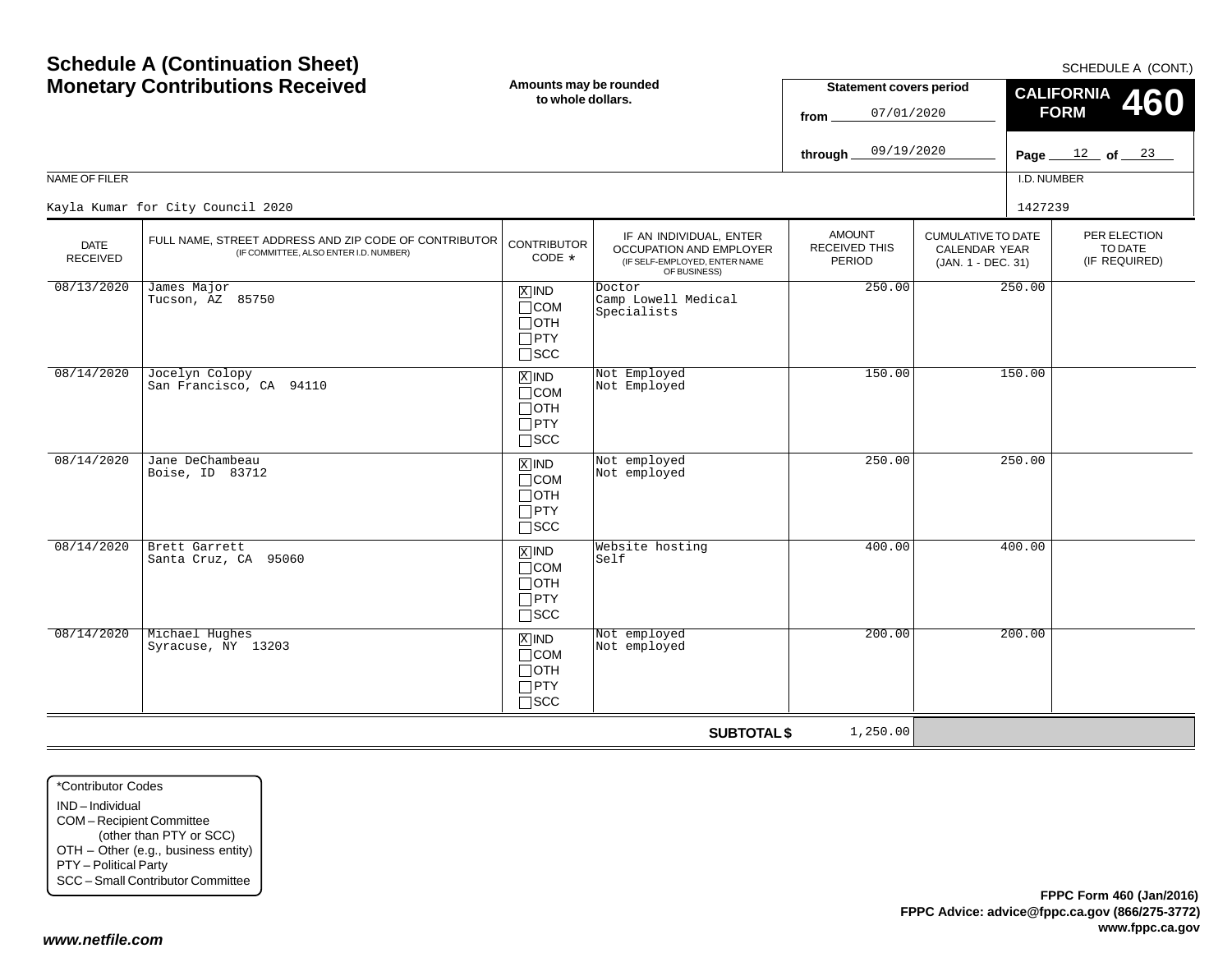|                                | <b>Schedule A (Continuation Sheet)</b>                                                          | Amounts may be rounded                                                        |                                                                                                            | SCHEDULE A (CONT.)<br><b>Statement covers period</b>   |                                                                         |                                          |  |  |
|--------------------------------|-------------------------------------------------------------------------------------------------|-------------------------------------------------------------------------------|------------------------------------------------------------------------------------------------------------|--------------------------------------------------------|-------------------------------------------------------------------------|------------------------------------------|--|--|
|                                | <b>Monetary Contributions Received</b>                                                          | to whole dollars.                                                             |                                                                                                            | 07/01/2020<br>from                                     |                                                                         | <b>CALIFORNIA</b><br>460<br><b>FORM</b>  |  |  |
|                                |                                                                                                 |                                                                               |                                                                                                            | 09/19/2020<br>through.                                 |                                                                         | Page $12$ of $23$                        |  |  |
| NAME OF FILER                  |                                                                                                 |                                                                               |                                                                                                            |                                                        |                                                                         | I.D. NUMBER                              |  |  |
|                                | Kayla Kumar for City Council 2020                                                               |                                                                               |                                                                                                            |                                                        |                                                                         | 1427239                                  |  |  |
| <b>DATE</b><br><b>RECEIVED</b> | FULL NAME, STREET ADDRESS AND ZIP CODE OF CONTRIBUTOR<br>(IF COMMITTEE, ALSO ENTER I.D. NUMBER) | <b>CONTRIBUTOR</b><br>CODE $*$                                                | IF AN INDIVIDUAL, ENTER<br><b>OCCUPATION AND EMPLOYER</b><br>(IF SELF-EMPLOYED, ENTER NAME<br>OF BUSINESS) | <b>AMOUNT</b><br><b>RECEIVED THIS</b><br><b>PERIOD</b> | <b>CUMULATIVE TO DATE</b><br><b>CALENDAR YEAR</b><br>(JAN. 1 - DEC. 31) | PER ELECTION<br>TO DATE<br>(IF REQUIRED) |  |  |
| 08/13/2020                     | James Major<br>Tucson, AZ 85750                                                                 | $\boxed{\text{X}}$ IND<br>$\Box$ COM<br>∏отн<br>$\Box$ PTY<br>$\square$ SCC   | Doctor<br>Camp Lowell Medical<br>Specialists                                                               | 250.00                                                 |                                                                         | 250.00                                   |  |  |
| 08/14/2020                     | Jocelyn Colopy<br>San Francisco, CA 94110                                                       | $X$ IND<br>$\Box$ COM<br>$\Box$ OTH<br>$\Box$ PTY<br>$\Box$ SCC               | Not Employed<br>Not Employed                                                                               | 150.00                                                 |                                                                         | 150.00                                   |  |  |
| 08/14/2020                     | Jane DeChambeau<br>Boise, ID 83712                                                              | $X$ IND<br>$\Box$ COM<br>$\Box$ OTH<br>$\Box$ PTY<br>$\square$ SCC            | Not employed<br>Not employed                                                                               | 250.00                                                 |                                                                         | 250.00                                   |  |  |
| 08/14/2020                     | Brett Garrett<br>Santa Cruz, CA 95060                                                           | $\overline{X}$ IND<br>$\Box$ COM<br>$\Box$ OTH<br>$\Box$ PTY<br>$\square$ SCC | Website hosting<br>Self                                                                                    | 400.00                                                 |                                                                         | 400.00                                   |  |  |
| 08/14/2020                     | Michael Hughes<br>Syracuse, NY 13203                                                            | $X$ IND<br>$\Box$ COM<br>$\Box$ OTH<br>$\Box$ PTY<br>$\Box$ scc               | Not employed<br>Not employed                                                                               | 200.00                                                 |                                                                         | 200.00                                   |  |  |
|                                |                                                                                                 |                                                                               | <b>SUBTOTAL \$</b>                                                                                         | 1,250.00                                               |                                                                         |                                          |  |  |

\*Contributor CodesIND – Individual COM – Recipient Committee (other than PTY or SCC) OTH – Other (e.g., business entity) PTY – Political Party SCC – Small Contributor Committee

*www.netfile.com*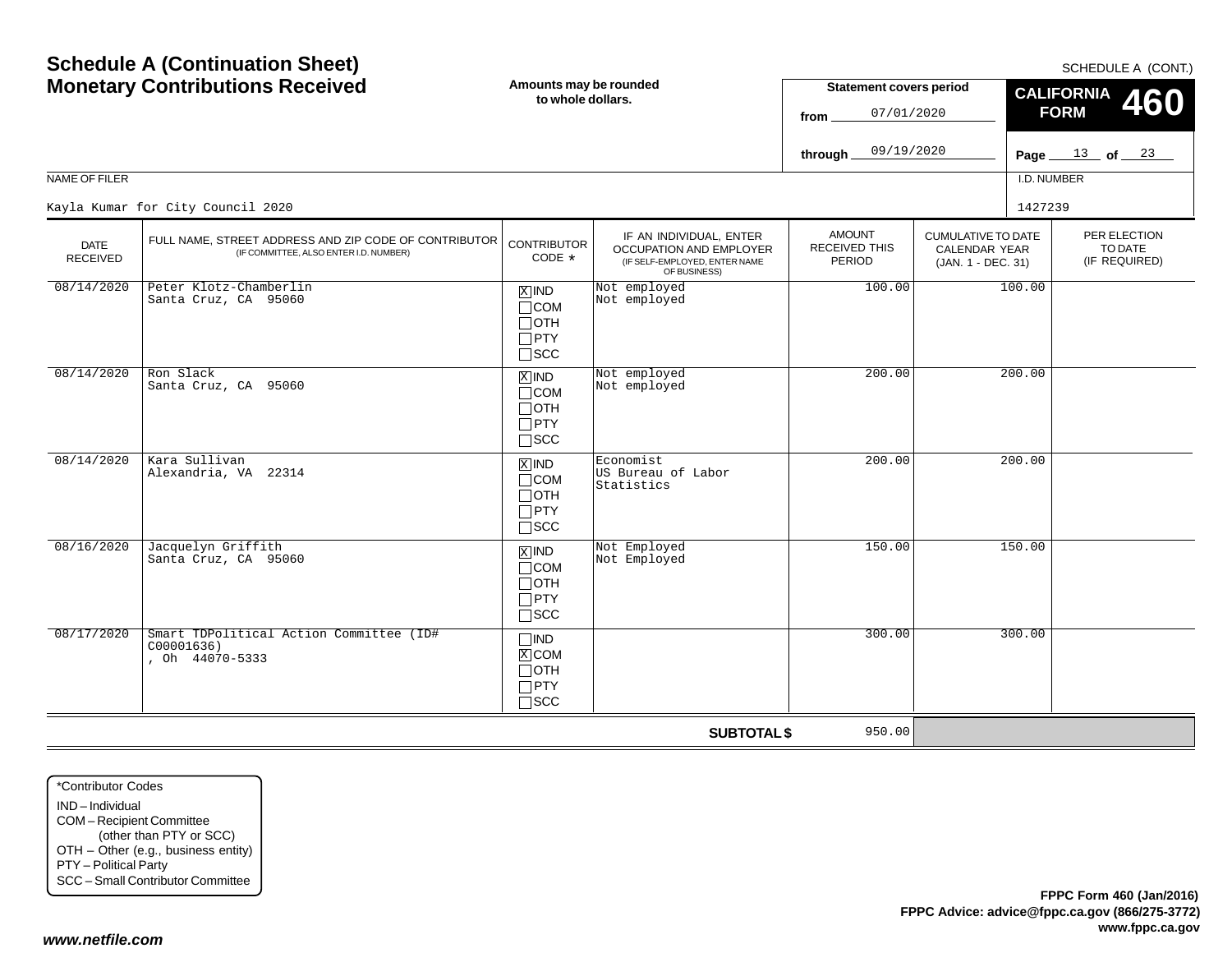IND – IndividualCOM – Recipient Committee (other than PTY or SCC) OTH – Other (e.g., business entity) PTY – Political Party SCC – Small Contributor Committee

\*Contributor Codes

*www.netfile.com*

Page <u>\_\_\_\_13 \_</u>\_ of <u>\_\_\_23</u> NAME OF FILERI.D. NUMBER**through** PER ELECTIONTO DATE (IF REQUIRED) CUMULATIVE TO DATECALENDAR YEAR (JAN. 1 - DEC. 31) AMOUNTRECEIVED THISPERIODIF AN INDIVIDUAL, ENTER OCCUPATION AND EMPLOYER (IF SELF-EMPLOYED, ENTER NAME OF BUSINESS) DATE RECEIVED**SUBTOTAL \$** FULL NAME, STREET ADDRESS AND ZIP CODE OF CONTRIBUTOR (IF COMMITTEE, ALSO ENTER I.D. NUMBER) CONTRIBUTORCODE\*IND X $\Box$ COM  $\Box$ OTH PTY  $\Box$ scc xiind COM  $\Box$ OTH  $\Box$ PTY SCC IND COM OTH PTY  $\Box$ SCC IND  $\Box$ COM OTH  $\Box$ PTY SCC  $\Box$ IND **X**COM OTH PTY SCC 09/19/2020Kayla Kumar for City Council 20200 and  $1427239$ 08/14/2020 Peter Klotz-Chamberlin Santa Cruz, CA 95060Not employed<br>Not employed d 100.00 100.00<br>d 08/14/2020 Ron Slack Santa Cruz, CA 95060**X** IND Not employed<br>
not employed 200.00 200.00 08/14/2020 Kara Sullivan Alexandria, VA 22314Economist<br>US Bureau of Labor **Statistics** 200.00 200.00 08/16/2020 Jacquelyn Griffith Santa Cruz, CA 95060 $\begin{array}{|l|c|c|c|}\hline \mathbb{X} & \mathsf{IND} & \mathbb{N} \text{ot } \mathbb{E}\mathbb{I} & \mathsf{my} \ \hline \mathbb{I} & \mathsf{C}\mathbb{I} & \mathsf{N} \text{ot } \mathbb{E}\mathbb{I} & \mathsf{my} \text{ot } \mathbb{E}\mathbb{I} & \mathsf{my} \ \hline \mathbb{I} & \mathsf{C}\mathbb{I} & \mathsf{S}\mathbb{I} & \mathsf{S}\mathbb{I} & \mathsf{S}\mathbb{I} & \mathsf{S}\mathbb{I} & \mathsf{S}\mathbb{I} & \math$ 08/17/2020 Smart TDPolitical Action Committee (ID# C00001636) , Oh 44070-5333 $\frac{X}{x}$ 300.00 300.00 950.00

**Amounts may be rounded to whole dollars.**

SCHEDULE A (CONT.)

**460**

**CALIFORNIA FORM**

**Statement covers period**

07/01/2020

**from**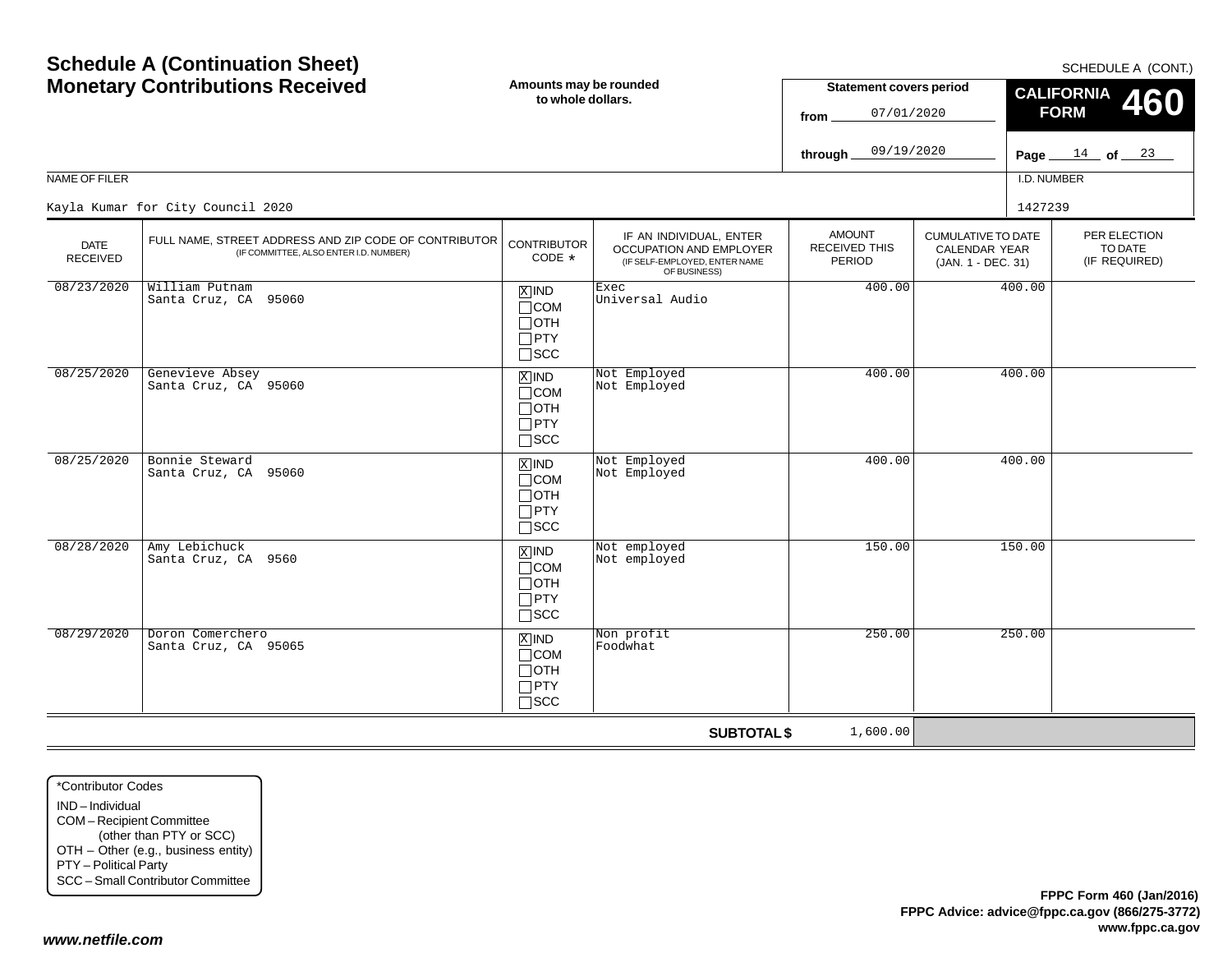| <b>Monetary Contributions Received</b> |                                                                                                 | Amounts may be rounded<br>to whole dollars.                           |                                                                                                     | <b>Statement covers period</b><br>07/01/2020<br>from |                                                                  | <b>CALIFORNIA</b><br>460<br><b>FORM</b> |                                          |  |
|----------------------------------------|-------------------------------------------------------------------------------------------------|-----------------------------------------------------------------------|-----------------------------------------------------------------------------------------------------|------------------------------------------------------|------------------------------------------------------------------|-----------------------------------------|------------------------------------------|--|
|                                        |                                                                                                 |                                                                       |                                                                                                     | 09/19/2020<br>through.                               |                                                                  |                                         | Page $14$ of $23$                        |  |
| <b>NAME OF FILER</b>                   |                                                                                                 |                                                                       |                                                                                                     |                                                      |                                                                  | I.D. NUMBER                             |                                          |  |
|                                        | Kayla Kumar for City Council 2020                                                               |                                                                       |                                                                                                     |                                                      |                                                                  | 1427239                                 |                                          |  |
| <b>DATE</b><br>RECEIVED                | FULL NAME, STREET ADDRESS AND ZIP CODE OF CONTRIBUTOR<br>(IF COMMITTEE, ALSO ENTER I.D. NUMBER) | <b>CONTRIBUTOR</b><br>CODE *                                          | IF AN INDIVIDUAL, ENTER<br>OCCUPATION AND EMPLOYER<br>(IF SELF-EMPLOYED, ENTER NAME<br>OF BUSINESS) | <b>AMOUNT</b><br><b>RECEIVED THIS</b><br>PERIOD      | <b>CUMULATIVE TO DATE</b><br>CALENDAR YEAR<br>(JAN. 1 - DEC. 31) |                                         | PER ELECTION<br>TO DATE<br>(IF REQUIRED) |  |
| 08/23/2020                             | William Putnam<br>Santa Cruz, CA 95060                                                          | $X$ IND<br>$\Box$ COM<br>$\Box$ OTH<br>$\square$ PTY<br>$\square$ SCC | Exec<br>Universal Audio                                                                             | 400.00                                               |                                                                  | 400.00                                  |                                          |  |
| 08/25/2020                             | Genevieve Absey<br>Santa Cruz, CA 95060                                                         | $X$ IND<br>$\Box$ COM<br>$\Box$ OTH<br>$\Box$ PTY<br>$\square$ SCC    | Not Employed<br>Not Employed                                                                        | 400.00                                               |                                                                  | 400.00                                  |                                          |  |
| 08/25/2020                             | Bonnie Steward<br>Santa Cruz, CA 95060                                                          | $X$ IND<br>$\Box$ COM<br>$\Box$ oth<br>$\Box$ PTY<br>$\Box$ scc       | Not Employed<br>Not Employed                                                                        | 400.00                                               |                                                                  | 400.00                                  |                                          |  |
| 08/28/2020                             | Amy Lebichuck<br>Santa Cruz, CA 9560                                                            | $X$ IND<br>$\Box$ COM<br>$\Box$ OTH<br>$\Box$ PTY<br>$\square$ SCC    | Not employed<br>Not employed                                                                        | 150.00                                               |                                                                  | 150.00                                  |                                          |  |
| 08/29/2020                             | Doron Comerchero<br>Santa Cruz, CA 95065                                                        | $X$ IND<br>$\Box$ COM<br>$\Box$ oth<br>$\Box$ PTY<br>$\Box$ scc       | Non profit<br>Foodwhat                                                                              | 250.00                                               |                                                                  | 250.00                                  |                                          |  |
|                                        |                                                                                                 |                                                                       | <b>SUBTOTAL \$</b>                                                                                  | 1,600.00                                             |                                                                  |                                         |                                          |  |

\*Contributor CodesIND – Individual COM – Recipient Committee (other than PTY or SCC) OTH – Other (e.g., business entity) PTY – Political Party SCC – Small Contributor Committee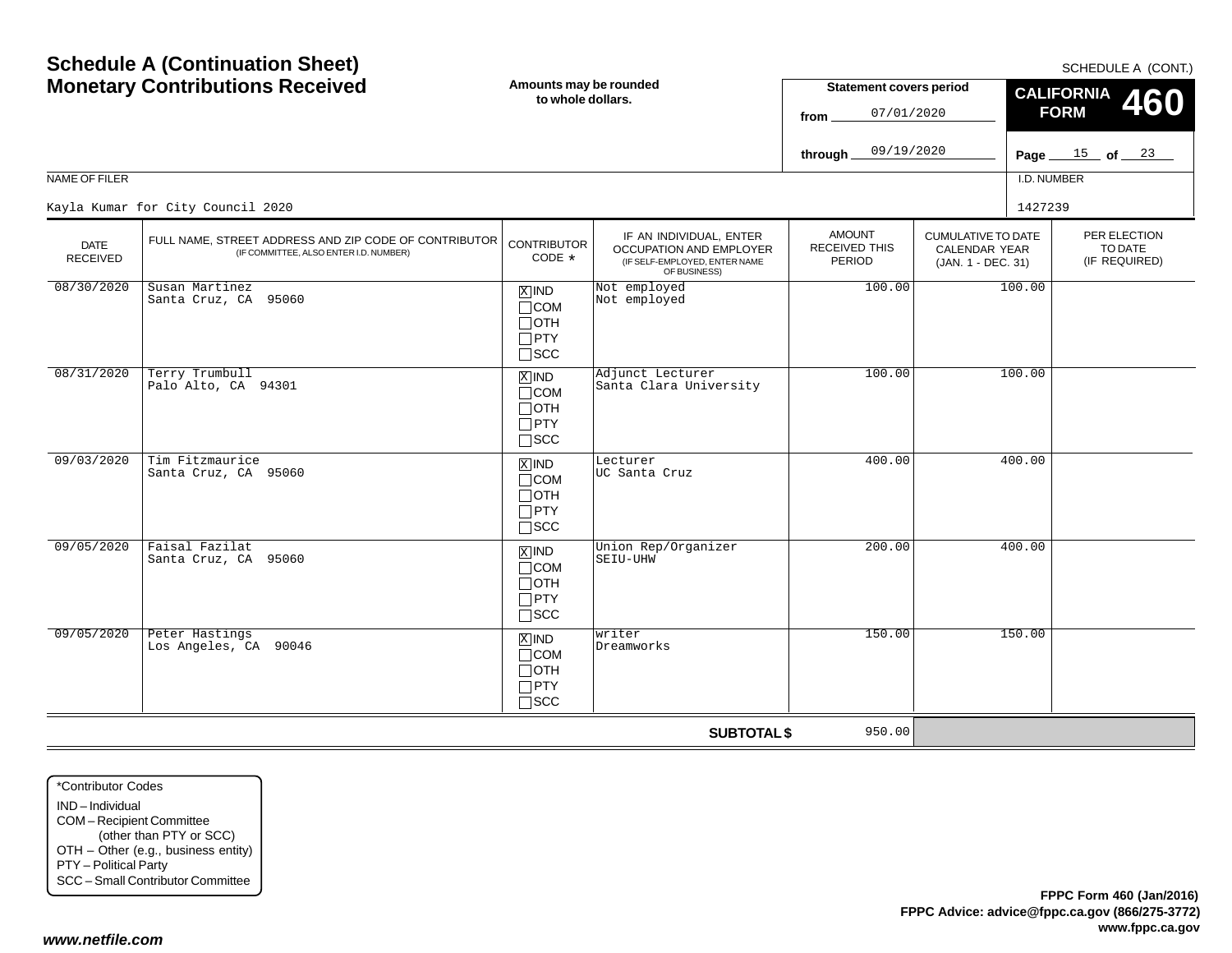|                         | <b>Monetary Contributions Received</b>                                                          | Amounts may be rounded<br>to whole dollars.                        |                                                                                                     | <b>Statement covers period</b><br>07/01/2020<br>from<br>09/19/2020<br>through_ |                                                                         | <b>CALIFORNIA</b><br><b>460</b><br><b>FORM</b><br>Page $15$ of $23$ |
|-------------------------|-------------------------------------------------------------------------------------------------|--------------------------------------------------------------------|-----------------------------------------------------------------------------------------------------|--------------------------------------------------------------------------------|-------------------------------------------------------------------------|---------------------------------------------------------------------|
| NAME OF FILER           |                                                                                                 |                                                                    |                                                                                                     |                                                                                |                                                                         | I.D. NUMBER                                                         |
|                         | Kayla Kumar for City Council 2020                                                               |                                                                    |                                                                                                     |                                                                                |                                                                         | 1427239                                                             |
| <b>DATE</b><br>RECEIVED | FULL NAME, STREET ADDRESS AND ZIP CODE OF CONTRIBUTOR<br>(IF COMMITTEE, ALSO ENTER I.D. NUMBER) | <b>CONTRIBUTOR</b><br>CODE *                                       | IF AN INDIVIDUAL, ENTER<br>OCCUPATION AND EMPLOYER<br>(IF SELF-EMPLOYED, ENTER NAME<br>OF BUSINESS) | <b>AMOUNT</b><br>RECEIVED THIS<br><b>PERIOD</b>                                | <b>CUMULATIVE TO DATE</b><br><b>CALENDAR YEAR</b><br>(JAN. 1 - DEC. 31) | PER ELECTION<br>TO DATE<br>(IF REQUIRED)                            |
| 08/30/2020              | Susan Martinez<br>Santa Cruz, CA 95060                                                          | $X$ IND<br>$\Box$ COM<br>$\Box$ OTH<br>$\Box$ PTY<br>$\square$ SCC | Not employed<br>Not employed                                                                        | 100.00                                                                         |                                                                         | 100.00                                                              |
| 08/31/2020              | Terry Trumbull<br>Palo Alto, CA 94301                                                           | $X$ IND<br>$\Box$ COM<br>$\Box$ oth<br>$\Box$ PTY<br>$\square$ SCC | Adjunct Lecturer<br>Santa Clara University                                                          | 100.00                                                                         |                                                                         | 100.00                                                              |
| 09/03/2020              | Tim Fitzmaurice<br>Santa Cruz, CA 95060                                                         | $X$ IND<br>$\Box$ COM<br>$\Box$ OTH<br>$\Box$ PTY<br>$\square$ SCC | Lecturer<br>UC Santa Cruz                                                                           | 400.00                                                                         |                                                                         | 400.00                                                              |
| 09/05/2020              | Faisal Fazilat<br>Santa Cruz, CA 95060                                                          | $X$ IND<br>$\Box$ COM<br>$\Box$ OTH<br>$\Box$ PTY<br>$\square$ SCC | Union Rep/Organizer<br>SEIU-UHW                                                                     | 200.00                                                                         |                                                                         | 400.00                                                              |
| 09/05/2020              | Peter Hastings<br>Los Angeles, CA 90046                                                         | $X$ IND<br>$\Box$ COM<br>$\Box$ OTH<br>$\Box$ PTY<br>$\square$ SCC | writer<br>Dreamworks                                                                                | 150.00                                                                         |                                                                         | 150.00                                                              |
|                         |                                                                                                 |                                                                    | <b>SUBTOTAL \$</b>                                                                                  | 950.00                                                                         |                                                                         |                                                                     |

SCHEDULE A (CONT.)

# **Schedule A (Continuation Sheet) Monetary Contributions Received**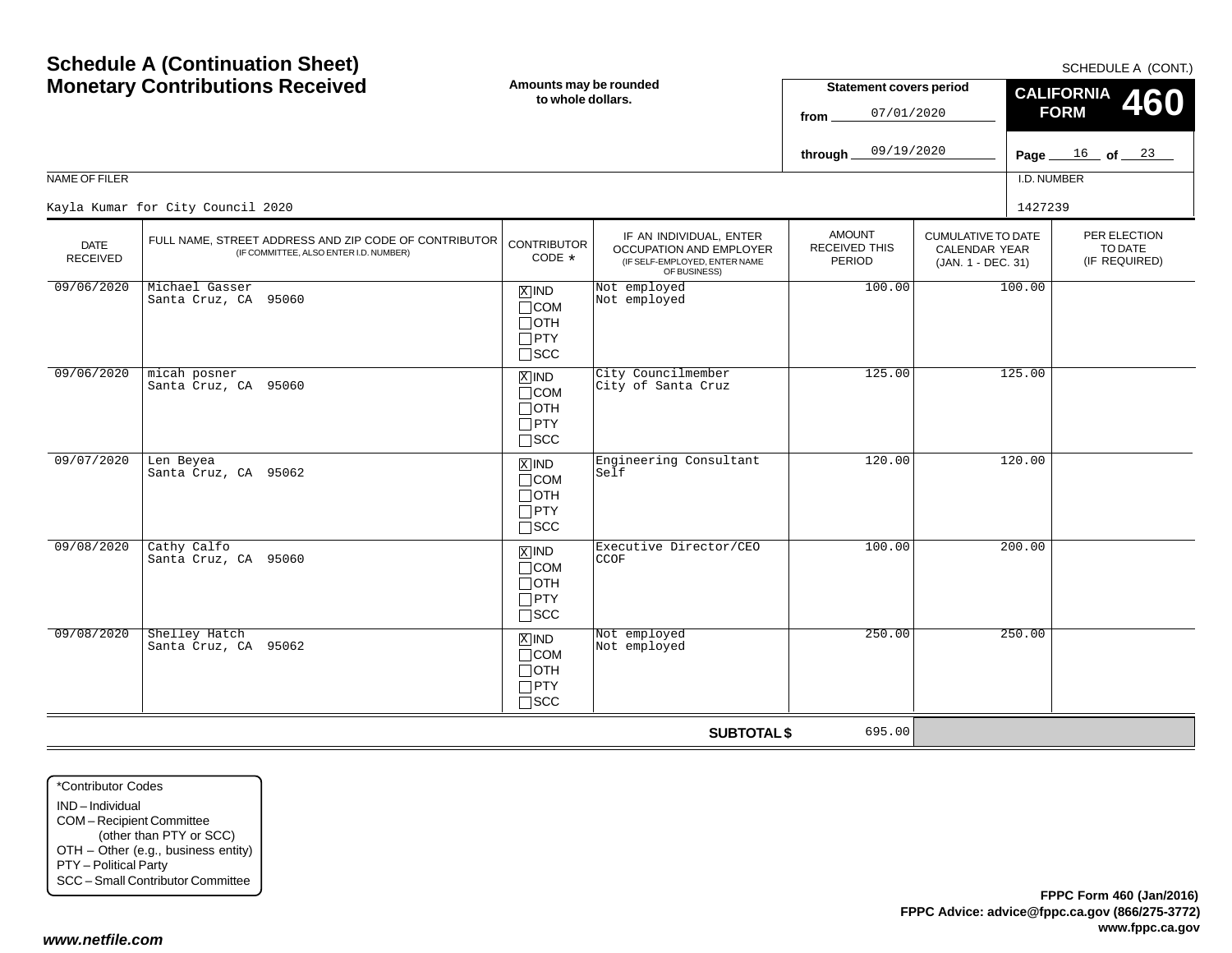| <b>Monetary Contributions Received</b> |                                                                                                 | Amounts may be rounded<br>to whole dollars.                                   |                                                                                                     | <b>Statement covers period</b><br>07/01/2020<br>from. |                                                                         | <b>CALIFORNIA</b><br>46<br><b>FORM</b>              |  |  |
|----------------------------------------|-------------------------------------------------------------------------------------------------|-------------------------------------------------------------------------------|-----------------------------------------------------------------------------------------------------|-------------------------------------------------------|-------------------------------------------------------------------------|-----------------------------------------------------|--|--|
|                                        |                                                                                                 |                                                                               |                                                                                                     | 09/19/2020<br>through                                 |                                                                         | $\frac{16}{16}$ of $\frac{23}{16}$<br>Page $\equiv$ |  |  |
| NAME OF FILER                          |                                                                                                 |                                                                               |                                                                                                     |                                                       |                                                                         | I.D. NUMBER                                         |  |  |
|                                        | Kayla Kumar for City Council 2020                                                               |                                                                               |                                                                                                     |                                                       |                                                                         | 1427239                                             |  |  |
| <b>DATE</b><br><b>RECEIVED</b>         | FULL NAME, STREET ADDRESS AND ZIP CODE OF CONTRIBUTOR<br>(IF COMMITTEE, ALSO ENTER I.D. NUMBER) | <b>CONTRIBUTOR</b><br>CODE *                                                  | IF AN INDIVIDUAL, ENTER<br>OCCUPATION AND EMPLOYER<br>(IF SELF-EMPLOYED, ENTER NAME<br>OF BUSINESS) | <b>AMOUNT</b><br>RECEIVED THIS<br>PERIOD              | <b>CUMULATIVE TO DATE</b><br><b>CALENDAR YEAR</b><br>(JAN. 1 - DEC. 31) | PER ELECTION<br>TO DATE<br>(IF REQUIRED)            |  |  |
| 09/06/2020                             | Michael Gasser<br>Santa Cruz, CA 95060                                                          | $\overline{X}$ IND<br>$\Box$ COM<br>$\Box$ OTH<br>$\Box$ PTY<br>$\square$ SCC | Not employed<br>Not employed                                                                        | 100.00                                                |                                                                         | 100.00                                              |  |  |
| 09/06/2020                             | micah posner<br>Santa Cruz, CA 95060                                                            | $X$ IND<br>$\Box$ COM<br>$\Box$ OTH<br>$\Box$ PTY<br>$\square$ SCC            | City Councilmember<br>City of Santa Cruz                                                            | 125.00                                                |                                                                         | 125.00                                              |  |  |
| 09/07/2020                             | Len Beyea<br>Santa Cruz, CA 95062                                                               | $X$ IND<br>$\Box$ COM<br>$\Box$ OTH<br>$\Box$ PTY<br>$\Box$ scc               | Engineering Consultant<br>Self                                                                      | 120.00                                                |                                                                         | 120.00                                              |  |  |
| 09/08/2020                             | Cathy Calfo<br>Santa Cruz, CA 95060                                                             | $\overline{X}$ IND<br>$\Box$ COM<br>$\Box$ oth<br>$\Box$ PTY<br>$\square$ SCC | Executive Director/CEO<br><b>CCOF</b>                                                               | 100.00                                                |                                                                         | 200.00                                              |  |  |
| 09/08/2020                             | Shelley Hatch<br>Santa Cruz, CA 95062                                                           | $X$ IND<br>$\Box$ COM<br>$\Box$ OTH<br>$\Box$ PTY<br>$\Box$ scc               | Not employed<br>Not employed                                                                        | 250.00                                                |                                                                         | 250.00                                              |  |  |

**SUBTOTAL \$**

695.00

**Amounts may be rounded**

**Schedule A (Continuation Sheet)**

#### SCHEDULE A (CONT.)

**460**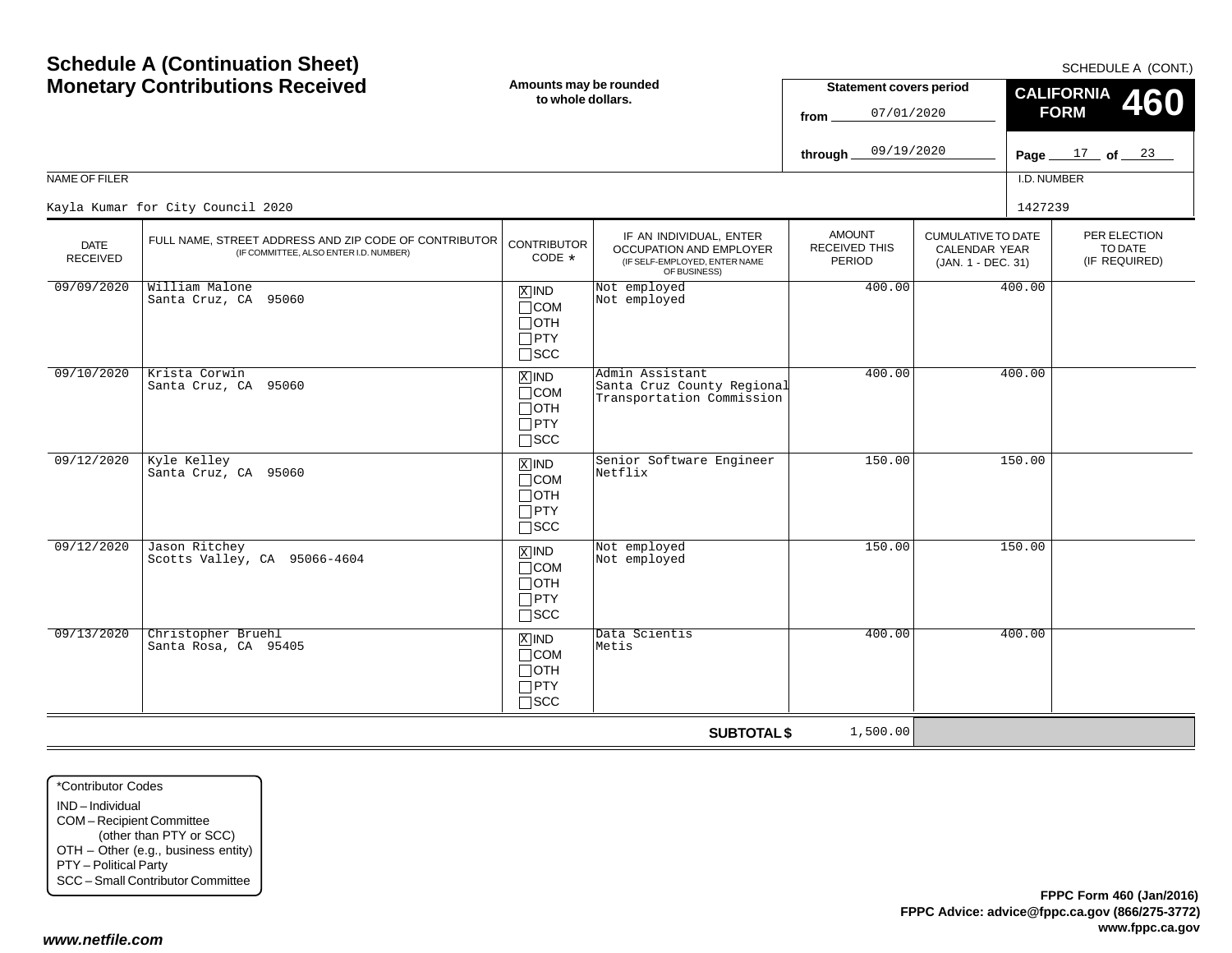|                                |                                                                                                 |                                                                               |                                                                                                            | 09/19/2020<br>through_                          |                                                                  | Page $17$ of $23$                      |
|--------------------------------|-------------------------------------------------------------------------------------------------|-------------------------------------------------------------------------------|------------------------------------------------------------------------------------------------------------|-------------------------------------------------|------------------------------------------------------------------|----------------------------------------|
| NAME OF FILER                  |                                                                                                 |                                                                               |                                                                                                            |                                                 |                                                                  | I.D. NUMBER                            |
|                                | Kayla Kumar for City Council 2020                                                               |                                                                               |                                                                                                            |                                                 |                                                                  | 1427239                                |
| <b>DATE</b><br><b>RECEIVED</b> | FULL NAME, STREET ADDRESS AND ZIP CODE OF CONTRIBUTOR<br>(IF COMMITTEE, ALSO ENTER I.D. NUMBER) | <b>CONTRIBUTOR</b><br>$CODE *$                                                | IF AN INDIVIDUAL, ENTER<br><b>OCCUPATION AND EMPLOYER</b><br>(IF SELF-EMPLOYED, ENTER NAME<br>OF BUSINESS) | <b>AMOUNT</b><br><b>RECEIVED THIS</b><br>PERIOD | CUMULATIVE TO DATE<br><b>CALENDAR YEAR</b><br>(JAN. 1 - DEC. 31) | PER ELECTIC<br>TO DATE<br>(IF REQUIRE) |
| 09/09/2020                     | William Malone<br>Santa Cruz, CA 95060                                                          | $X$ IND<br>$\Box$ COM<br>$\Box$ OTH<br>$\Box$ PTY<br>$\square$ SCC            | Not employed<br>Not employed                                                                               | 400.00                                          |                                                                  | 400.00                                 |
| 09/10/2020                     | Krista Corwin<br>Santa Cruz, CA 95060                                                           | $X$ IND<br>$\Box$ COM<br>$\Box$ OTH<br>$\Box$ PTY<br>$\square$ SCC            | Admin Assistant<br>Santa Cruz County Regional<br>Transportation Commission                                 | 400.00                                          |                                                                  | 400.00                                 |
| 09/12/2020                     | Kyle Kelley<br>Santa Cruz, CA 95060                                                             | $X$ IND<br>$\Box$ COM<br>$\Box$ OTH<br>$\Box$ PTY<br>$\Box$ SCC               | Senior Software Engineer<br>Netflix                                                                        | 150.00                                          |                                                                  | 150.00                                 |
| 09/12/2020                     | Jason Ritchey<br>Scotts Valley, CA 95066-4604                                                   | $\overline{X}$ IND<br>$\Box$ COM<br>$\Box$ OTH<br>$\Box$ PTY<br>$\square$ SCC | Not employed<br>Not employed                                                                               | 150.00                                          |                                                                  | 150.00                                 |
| 09/13/2020                     | Christopher Bruehl<br>Santa Rosa, CA 95405                                                      | $X$ IND<br>$\Box$ COM<br>$\Box$ OTH<br>$\Box$ PTY                             | Data Scientis<br>Metis                                                                                     | 400.00                                          |                                                                  | 400.00                                 |

SCC

**Amounts may be rounded to whole dollars.**

# **Schedule A (Continuation Sheet) Monetary Contributions Received**

\*Contributor CodesIND – IndividualCOM – Recipient Committee (other than PTY or SCC) OTH – Other (e.g., business entity) PTY – Political Party SCC – Small Contributor Committee

*www.netfile.com*

#### SCHEDULE A (CONT.)

PER ELECTIONTO DATE(IF REQUIRED)

**460**

**CALIFORNIA FORM**

**Statement covers period**

07/01/2020

**from**

**SUBTOTAL \$**

1,500.00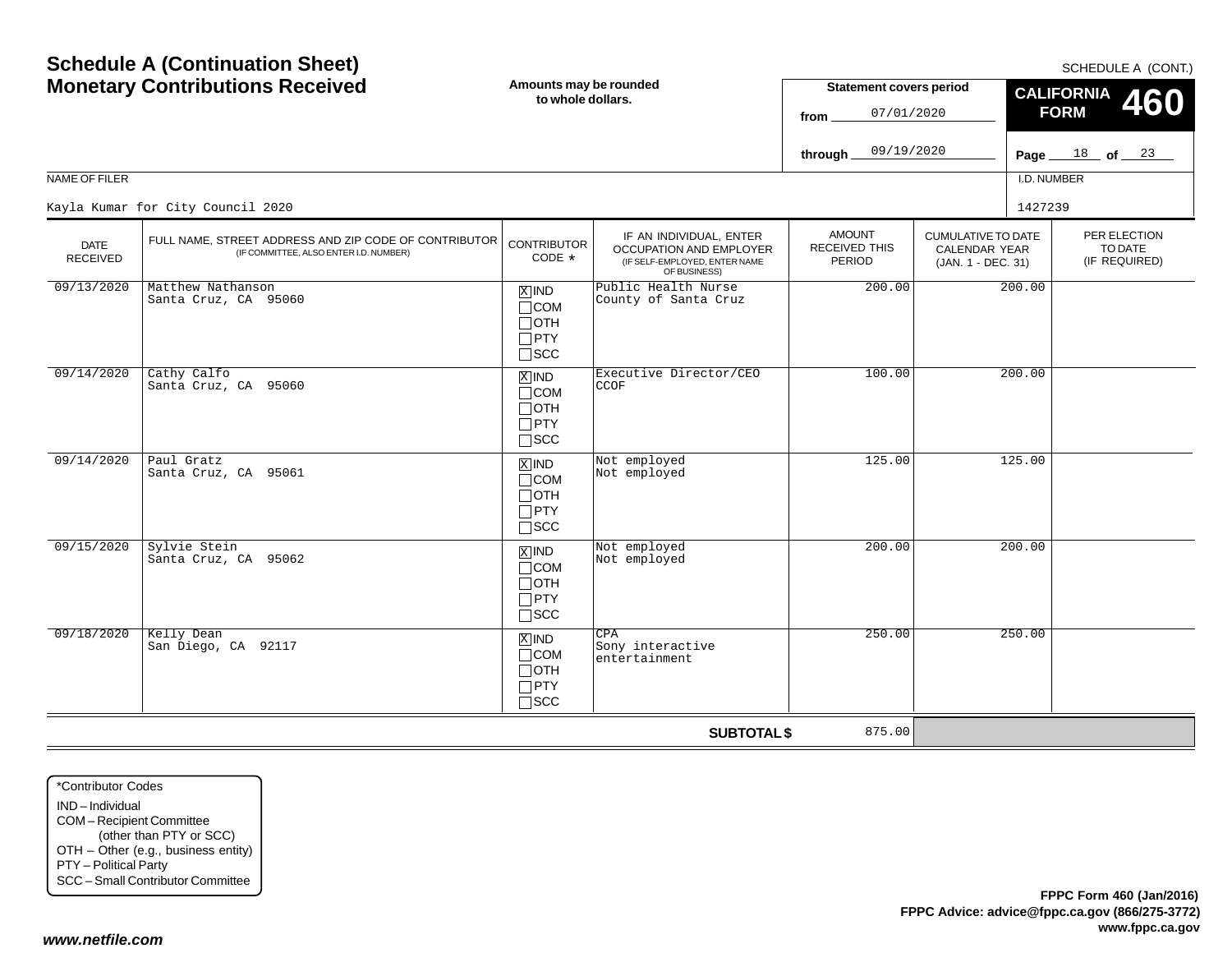**FPPC Form 460 (Jan/2016)**

**www.fppc.ca.gov**

**FPPC Advice: advice@fppc.ca.gov (866/275-3772)**

**SUBTOTAL \$**

875.00

|                         | <b>Monetary Contributions Received</b><br>Amounts may be rounded<br><b>Statement covers period</b><br>to whole dollars.<br>07/01/2020<br>from<br>09/19/2020<br>through. |                                                                               | <b>CALIFORNIA</b><br><b>460</b><br><b>FORM</b><br>Page $18$ of $23$                                 |                                                        |                                                                         |             |                                          |
|-------------------------|-------------------------------------------------------------------------------------------------------------------------------------------------------------------------|-------------------------------------------------------------------------------|-----------------------------------------------------------------------------------------------------|--------------------------------------------------------|-------------------------------------------------------------------------|-------------|------------------------------------------|
| NAME OF FILER           |                                                                                                                                                                         |                                                                               |                                                                                                     |                                                        |                                                                         | I.D. NUMBER |                                          |
|                         | Kayla Kumar for City Council 2020                                                                                                                                       |                                                                               |                                                                                                     |                                                        |                                                                         | 1427239     |                                          |
| <b>DATE</b><br>RECEIVED | FULL NAME, STREET ADDRESS AND ZIP CODE OF CONTRIBUTOR<br>(IF COMMITTEE, ALSO ENTER I.D. NUMBER)                                                                         | <b>CONTRIBUTOR</b><br>CODE *                                                  | IF AN INDIVIDUAL, ENTER<br>OCCUPATION AND EMPLOYER<br>(IF SELF-EMPLOYED, ENTER NAME<br>OF BUSINESS) | <b>AMOUNT</b><br><b>RECEIVED THIS</b><br><b>PERIOD</b> | <b>CUMULATIVE TO DATE</b><br><b>CALENDAR YEAR</b><br>(JAN. 1 - DEC. 31) |             | PER ELECTION<br>TO DATE<br>(IF REQUIRED) |
| 09/13/2020              | Matthew Nathanson<br>Santa Cruz, CA 95060                                                                                                                               | $X$ IND<br>$\Box$ COM<br>$\Box$ OTH<br>$\Box$ PTY<br>$\square$ SCC            | Public Health Nurse<br>County of Santa Cruz                                                         | 200.00                                                 |                                                                         | 200.00      |                                          |
| 09/14/2020              | Cathy Calfo<br>Santa Cruz, CA 95060                                                                                                                                     | $\overline{X}$ IND<br>$\Box$ COM<br>$\Box$ OTH<br>$\Box$ PTY<br>$\square$ SCC | Executive Director/CEO<br>CCOF                                                                      | 100.00                                                 |                                                                         | 200.00      |                                          |
| 09/14/2020              | Paul Gratz<br>Santa Cruz, CA 95061                                                                                                                                      | $X$ IND<br>$\Box$ COM<br>$\Box$ OTH<br>$\Box$ PTY<br>$\square$ SCC            | Not employed<br>Not employed                                                                        | 125.00                                                 |                                                                         | 125.00      |                                          |
| 09/15/2020              | Sylvie Stein<br>Santa Cruz, CA 95062                                                                                                                                    | $\overline{X}$ IND<br>$\Box$ COM<br>$\Box$ OTH<br>$\Box$ PTY<br>$\square$ SCC | Not employed<br>Not employed                                                                        | 200.00                                                 |                                                                         | 200.00      |                                          |
| 09/18/2020              | Kelly Dean<br>San Diego, CA 92117                                                                                                                                       | $X$ IND<br>$\Box$ COM<br>$\Box$ OTH<br>$\Box$ PTY<br>$\square$ SCC            | CPA<br>Sony interactive<br>entertainment                                                            | 250.00                                                 |                                                                         | 250.00      |                                          |

\*Contributor CodesIND – Individual COM – Recipient Committee (other than PTY or SCC) OTH – Other (e.g., business entity) PTY – Political Party SCC – Small Contributor Committee

#### *www.netfile.com*

SCHEDULE A (CONT.)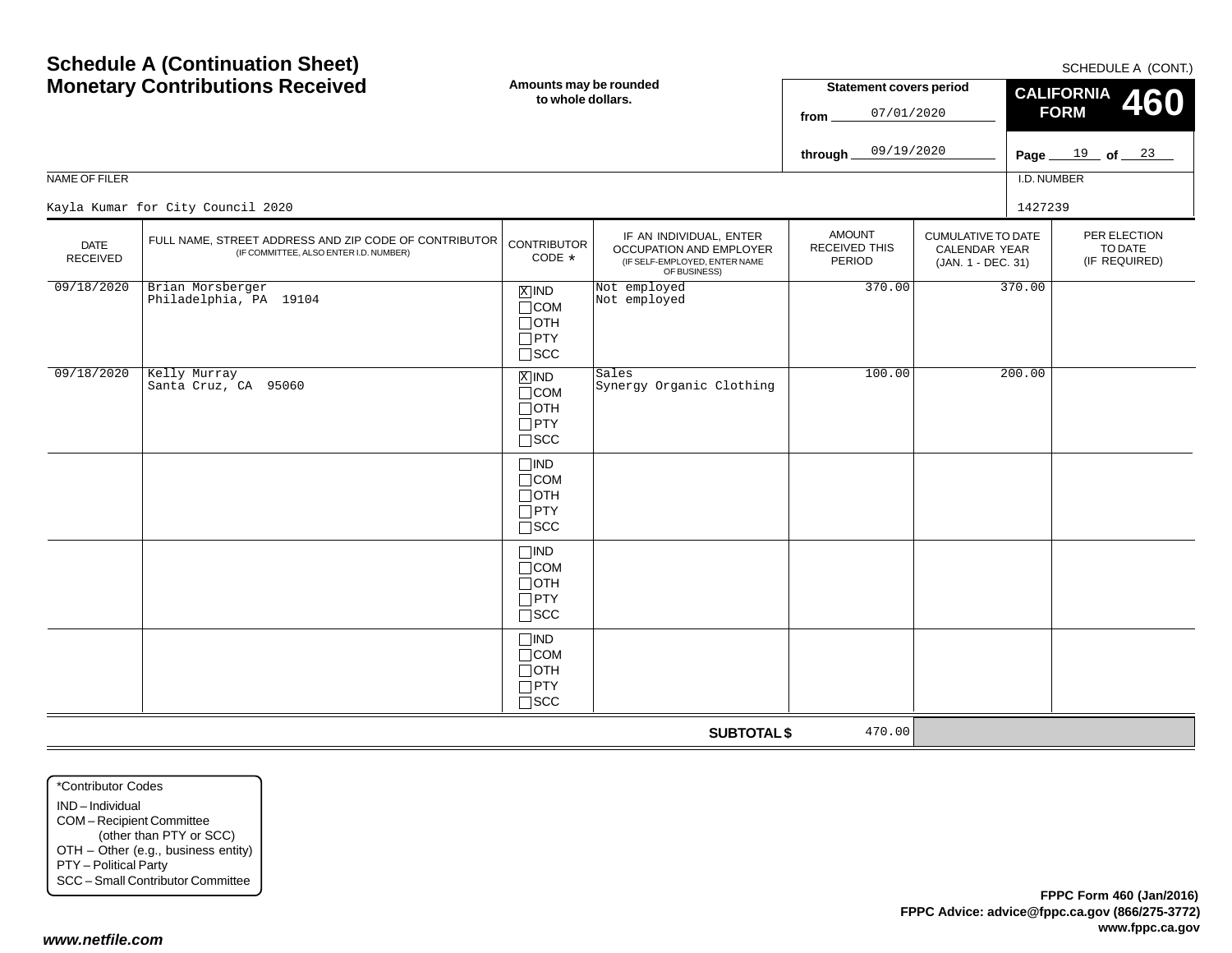| NAME OF FILER                  | <b>Monetary Contributions Received</b><br>Kayla Kumar for City Council 2020                     | Amounts may be rounded<br>to whole dollars.                           |                                                                                                     | <b>Statement covers period</b><br>07/01/2020<br>from<br>09/19/2020<br>through $\_$ |                                                                         | I.D. NUMBER<br>1427239 | <b>OUTLDULL A (UUITI.)</b><br><b>CALIFORNIA</b><br><b>460</b><br><b>FORM</b><br>Page $19$ of $23$ |
|--------------------------------|-------------------------------------------------------------------------------------------------|-----------------------------------------------------------------------|-----------------------------------------------------------------------------------------------------|------------------------------------------------------------------------------------|-------------------------------------------------------------------------|------------------------|---------------------------------------------------------------------------------------------------|
| <b>DATE</b><br><b>RECEIVED</b> | FULL NAME, STREET ADDRESS AND ZIP CODE OF CONTRIBUTOR<br>(IF COMMITTEE, ALSO ENTER I.D. NUMBER) | <b>CONTRIBUTOR</b><br>CODE *                                          | IF AN INDIVIDUAL, ENTER<br>OCCUPATION AND EMPLOYER<br>(IF SELF-EMPLOYED, ENTER NAME<br>OF BUSINESS) | <b>AMOUNT</b><br>RECEIVED THIS<br>PERIOD                                           | <b>CUMULATIVE TO DATE</b><br><b>CALENDAR YEAR</b><br>(JAN. 1 - DEC. 31) |                        | PER ELECTION<br>TO DATE<br>(IF REQUIRED)                                                          |
| 09/18/2020                     | Brian Morsberger<br>Philadelphia, PA 19104                                                      | $X$ IND<br>$\Box$ COM<br>$\Box$ OTH<br>$\Box$ PTY<br>$\square$ SCC    | Not employed<br>Not employed                                                                        | 370.00                                                                             |                                                                         | 370.00                 |                                                                                                   |
| 09/18/2020                     | Kelly Murray<br>Santa Cruz, CA 95060                                                            | $X$ IND<br>$\Box$ COM<br>$\Box$ OTH<br>$\Box$ PTY<br>$\square$ SCC    | Sales<br>Synergy Organic Clothing                                                                   | 100.00                                                                             |                                                                         | 200.00                 |                                                                                                   |
|                                |                                                                                                 | $\Box$ IND<br>$\Box$ COM<br>$\Box$ OTH<br>$\Box$ PTY<br>$\square$ SCC |                                                                                                     |                                                                                    |                                                                         |                        |                                                                                                   |
|                                |                                                                                                 | $\Box$ IND<br>$\Box$ COM<br>$\Box$ OTH<br>$\Box$ PTY<br>$\square$ SCC |                                                                                                     |                                                                                    |                                                                         |                        |                                                                                                   |
|                                |                                                                                                 | $\Box$ IND<br>$\Box$ COM<br>$\Box$ OTH<br>$\Box$ PTY<br>$\square$ SCC |                                                                                                     |                                                                                    |                                                                         |                        |                                                                                                   |
|                                |                                                                                                 |                                                                       | <b>SUBTOTAL \$</b>                                                                                  | 470.00                                                                             |                                                                         |                        |                                                                                                   |

\*Contributor CodesIND – Individual COM – Recipient Committee (other than PTY or SCC) OTH – Other (e.g., business entity) PTY – Political Party SCC – Small Contributor Committee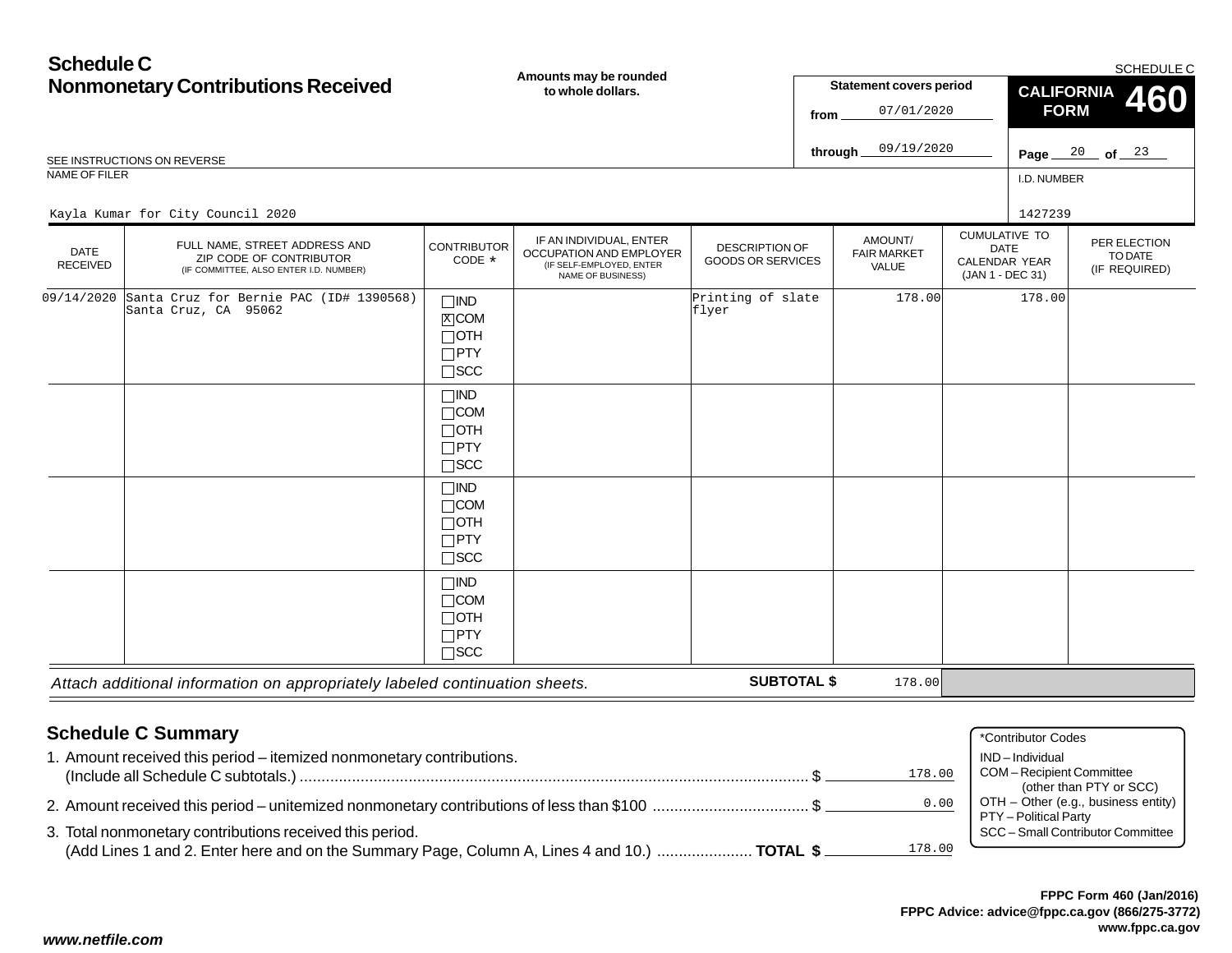## **Schedule CNonmonetary Contributions Received Amounts may be rounded to whole dollars.**

SCHEDULE C

|                                | <b>Nonmonetary Contributions Received</b>                                                          |                                                                       | Amounts may be rounded<br>to whole dollars.                                                         |                                            | from               | <b>Statement covers period</b><br>07/01/2020 |                                                                                 | <b>CALIFORNIA</b><br><b>FORM</b>     |                                                    | <b>OOLILDOLL O</b><br><b>460</b> |
|--------------------------------|----------------------------------------------------------------------------------------------------|-----------------------------------------------------------------------|-----------------------------------------------------------------------------------------------------|--------------------------------------------|--------------------|----------------------------------------------|---------------------------------------------------------------------------------|--------------------------------------|----------------------------------------------------|----------------------------------|
|                                |                                                                                                    |                                                                       |                                                                                                     |                                            |                    |                                              |                                                                                 |                                      |                                                    |                                  |
|                                | SEE INSTRUCTIONS ON REVERSE                                                                        |                                                                       |                                                                                                     |                                            | through.           | 09/19/2020                                   |                                                                                 | Page.                                | $\frac{20}{100}$ of $\frac{23}{100}$               |                                  |
| NAME OF FILER                  |                                                                                                    |                                                                       |                                                                                                     |                                            |                    |                                              |                                                                                 | I.D. NUMBER                          |                                                    |                                  |
|                                | Kayla Kumar for City Council 2020                                                                  |                                                                       |                                                                                                     |                                            |                    |                                              |                                                                                 | 1427239                              |                                                    |                                  |
| <b>DATE</b><br><b>RECEIVED</b> | FULL NAME, STREET ADDRESS AND<br>ZIP CODE OF CONTRIBUTOR<br>(IF COMMITTEE, ALSO ENTER I.D. NUMBER) | <b>CONTRIBUTOR</b><br>CODE *                                          | IF AN INDIVIDUAL, ENTER<br>OCCUPATION AND EMPLOYER<br>(IF SELF-EMPLOYED, ENTER<br>NAME OF BUSINESS) | DESCRIPTION OF<br><b>GOODS OR SERVICES</b> |                    | AMOUNT/<br><b>FAIR MARKET</b><br>VALUE       | <b>CUMULATIVE TO</b><br><b>DATE</b><br><b>CALENDAR YEAR</b><br>(JAN 1 - DEC 31) |                                      | PER ELECTION<br>TO DATE<br>(IF REQUIRED)           |                                  |
| 09/14/2020                     | Santa Cruz for Bernie PAC (ID# 1390568)<br>Santa Cruz, CA 95062                                    | $\Box$ IND<br>$X$ COM<br>$\Box$ OTH<br>$\Box$ PTY<br>$\square$ SCC    |                                                                                                     | Printing of slate<br>flyer                 |                    | 178.00                                       |                                                                                 | 178.00                               |                                                    |                                  |
|                                |                                                                                                    | $\Box$ IND<br>$\Box$ COM<br>$\Box$ OTH<br>$\Box$ PTY<br>$\square$ SCC |                                                                                                     |                                            |                    |                                              |                                                                                 |                                      |                                                    |                                  |
|                                |                                                                                                    | $\Box$ IND<br>$\Box$ COM<br>$\Box$ OTH<br>$\Box$ PTY<br>$\square$ SCC |                                                                                                     |                                            |                    |                                              |                                                                                 |                                      |                                                    |                                  |
|                                |                                                                                                    | $\Box$ IND<br>$\Box$ COM<br>$\Box$ OTH<br>$\Box$ PTY<br>$\Box$ scc    |                                                                                                     |                                            |                    |                                              |                                                                                 |                                      |                                                    |                                  |
|                                | Attach additional information on appropriately labeled continuation sheets.                        |                                                                       |                                                                                                     |                                            | <b>SUBTOTAL \$</b> | 178.00                                       |                                                                                 |                                      |                                                    |                                  |
|                                | <b>Schedule C Summary</b><br>1. Amount received this period - itemized nonmonetary contributions.  |                                                                       |                                                                                                     |                                            |                    | 178.00                                       |                                                                                 | *Contributor Codes<br>IND-Individual | COM-Recipient Committee<br>(other than PTY or SCC) |                                  |

2. Amount received this period – unitemized nonmonetary contributions of less than \$100 .................................... \$

3. Total nonmonetary contributions received this period. (Add Lines 1 and 2. Enter here and on the Summary Page, Column A, Lines 4 and 10.) ...................... **TOTAL \$** 178.00

PTY – Political Party

0.00

 $OTH - Other (e.g., business entity)$ 

SCC – Small Contributor Committee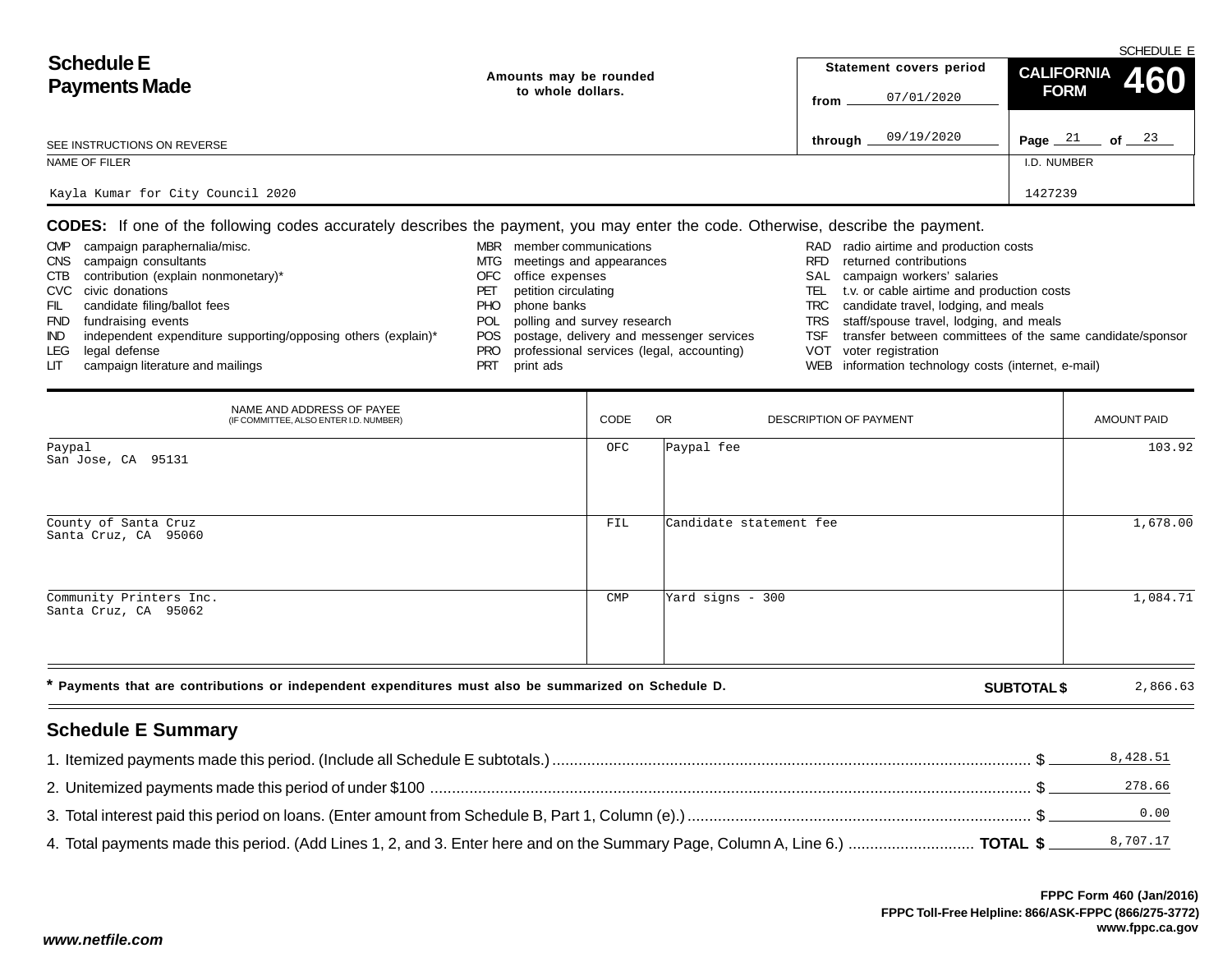|                                   |                        | SCHEDULE E                     |                                |  |  |  |  |  |  |
|-----------------------------------|------------------------|--------------------------------|--------------------------------|--|--|--|--|--|--|
| <b>Schedule E</b>                 | Amounts may be rounded | Statement covers period        | CALIFORNIA 460                 |  |  |  |  |  |  |
| <b>Payments Made</b>              | to whole dollars.      | 07/01/2020<br>from             | <b>FORM</b>                    |  |  |  |  |  |  |
| SEE INSTRUCTIONS ON REVERSE       |                        | 09/19/2020<br>through $\equiv$ | of $\frac{23}{2}$<br>Page $21$ |  |  |  |  |  |  |
| NAME OF FILER                     |                        |                                | I.D. NUMBER                    |  |  |  |  |  |  |
| Kayla Kumar for City Council 2020 |                        |                                | 1427239                        |  |  |  |  |  |  |

**CODES:** If one of the following codes accurately describes the payment, you may enter the code. Otherwise, describe the payment.

| <b>CMP</b> | campaign paraphernalia/misc.                                  | MBR | member communications                        |      | RAD radio airtime and production costs                    |
|------------|---------------------------------------------------------------|-----|----------------------------------------------|------|-----------------------------------------------------------|
| <b>CNS</b> | campaign consultants                                          |     | MTG meetings and appearances                 | RFD. | returned contributions                                    |
|            | CTB contribution (explain nonmonetary)*                       |     | OFC office expenses                          |      | SAL campaign workers' salaries                            |
|            | CVC civic donations                                           | PET | petition circulating                         | TEL  | t.v. or cable airtime and production costs                |
| FIL        | candidate filing/ballot fees                                  | PHO | phone banks                                  |      | TRC candidate travel, lodging, and meals                  |
| <b>FND</b> | fundraising events                                            |     | POL polling and survey research              |      | TRS staff/spouse travel, lodging, and meals               |
| IND.       | independent expenditure supporting/opposing others (explain)* |     | POS postage, delivery and messenger services | TSF  | transfer between committees of the same candidate/sponsor |
| LEG        | legal defense                                                 | PRO | professional services (legal, accounting)    |      | VOT voter registration                                    |
| LIT.       | campaign literature and mailings                              | PRT | print ads                                    |      | WEB information technology costs (internet, e-mail)       |

| NAME AND ADDRESS OF PAYEE<br>(IF COMMITTEE, ALSO ENTER I.D. NUMBER)                                                        | CODE | <b>OR</b><br><b>DESCRIPTION OF PAYMENT</b> |  | <b>AMOUNT PAID</b> |
|----------------------------------------------------------------------------------------------------------------------------|------|--------------------------------------------|--|--------------------|
| Paypal<br>San Jose, CA 95131                                                                                               | OFC  | Paypal fee                                 |  | 103.92             |
| County of Santa Cruz<br>Santa Cruz, CA 95060                                                                               | FIL  | Candidate statement fee                    |  | 1,678.00           |
| Community Printers Inc.<br>Santa Cruz, CA 95062                                                                            | CMP  | Yard signs - 300                           |  | 1,084.71           |
| * Payments that are contributions or independent expenditures must also be summarized on Schedule D.<br><b>SUBTOTAL \$</b> |      |                                            |  |                    |

# **Schedule E Summary**

| 4. Total payments made this period. (Add Lines 1, 2, and 3. Enter here and on the Summary Page, Column A, Line 6.)  TOTAL \$ |  |
|------------------------------------------------------------------------------------------------------------------------------|--|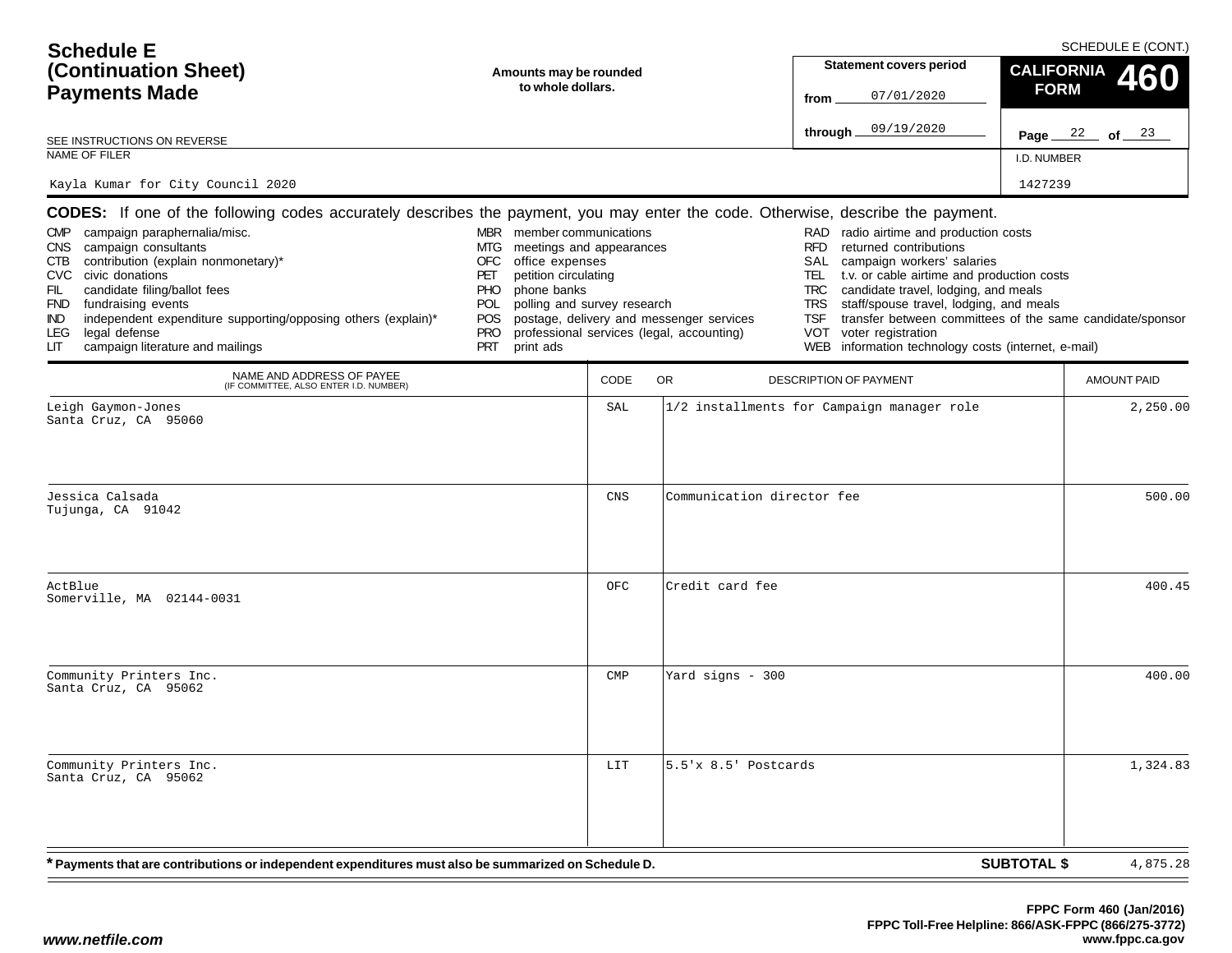| <b>Schedule E</b>                                                                                                                                                                                                                                                                                                                                                                                                                                                                              |                                                                                                                                                                                                                             |      |                                                                                       |                                                                                                                                                                                                                                                                                                                                                                                                  | SCHEDULE E (CONT.)                                        |
|------------------------------------------------------------------------------------------------------------------------------------------------------------------------------------------------------------------------------------------------------------------------------------------------------------------------------------------------------------------------------------------------------------------------------------------------------------------------------------------------|-----------------------------------------------------------------------------------------------------------------------------------------------------------------------------------------------------------------------------|------|---------------------------------------------------------------------------------------|--------------------------------------------------------------------------------------------------------------------------------------------------------------------------------------------------------------------------------------------------------------------------------------------------------------------------------------------------------------------------------------------------|-----------------------------------------------------------|
| (Continuation Sheet)                                                                                                                                                                                                                                                                                                                                                                                                                                                                           | Amounts may be rounded                                                                                                                                                                                                      |      |                                                                                       | <b>Statement covers period</b>                                                                                                                                                                                                                                                                                                                                                                   | <b>CALIFORNIA</b><br>460                                  |
| <b>Payments Made</b>                                                                                                                                                                                                                                                                                                                                                                                                                                                                           | to whole dollars.                                                                                                                                                                                                           |      |                                                                                       | 07/01/2020<br>from                                                                                                                                                                                                                                                                                                                                                                               | <b>FORM</b>                                               |
| SEE INSTRUCTIONS ON REVERSE                                                                                                                                                                                                                                                                                                                                                                                                                                                                    |                                                                                                                                                                                                                             |      |                                                                                       | 09/19/2020<br>through                                                                                                                                                                                                                                                                                                                                                                            | Page $22$ of $23$                                         |
| <b>NAME OF FILER</b>                                                                                                                                                                                                                                                                                                                                                                                                                                                                           |                                                                                                                                                                                                                             |      |                                                                                       |                                                                                                                                                                                                                                                                                                                                                                                                  | I.D. NUMBER                                               |
| Kayla Kumar for City Council 2020                                                                                                                                                                                                                                                                                                                                                                                                                                                              |                                                                                                                                                                                                                             |      |                                                                                       |                                                                                                                                                                                                                                                                                                                                                                                                  | 1427239                                                   |
| <b>CODES:</b> If one of the following codes accurately describes the payment, you may enter the code. Otherwise, describe the payment.<br>CMP campaign paraphernalia/misc.<br>campaign consultants<br>CNS .<br>contribution (explain nonmonetary)*<br>CTB<br>CVC civic donations<br>FIL<br>candidate filing/ballot fees<br>FND fundraising events<br>independent expenditure supporting/opposing others (explain)*<br>IND.<br>legal defense<br>LEG.<br>campaign literature and mailings<br>LІТ | MBR member communications<br>meetings and appearances<br>MTG.<br>OFC<br>office expenses<br>PET<br>petition circulating<br>phone banks<br>PHO<br>polling and survey research<br>POL<br>POS<br><b>PRO</b><br>PRT<br>print ads |      | postage, delivery and messenger services<br>professional services (legal, accounting) | RAD radio airtime and production costs<br>returned contributions<br><b>RFD</b><br>SAL<br>campaign workers' salaries<br>t.v. or cable airtime and production costs<br>TEL<br>candidate travel, lodging, and meals<br><b>TRC</b><br><b>TRS</b><br>staff/spouse travel, lodging, and meals<br><b>TSF</b><br><b>VOT</b><br>voter registration<br>WEB information technology costs (internet, e-mail) | transfer between committees of the same candidate/sponsor |
| NAME AND ADDRESS OF PAYEE<br>(IF COMMITTEE, ALSO ENTER I.D. NUMBER)                                                                                                                                                                                                                                                                                                                                                                                                                            |                                                                                                                                                                                                                             | CODE | <b>OR</b>                                                                             | <b>DESCRIPTION OF PAYMENT</b>                                                                                                                                                                                                                                                                                                                                                                    | AMOUNT PAID                                               |
| Leigh Gaymon-Jones<br>Santa Cruz, CA 95060                                                                                                                                                                                                                                                                                                                                                                                                                                                     |                                                                                                                                                                                                                             | SAL  |                                                                                       | 1/2 installments for Campaign manager role                                                                                                                                                                                                                                                                                                                                                       | 2,250.00                                                  |
| Jessica Calsada<br>Tujunga, CA 91042                                                                                                                                                                                                                                                                                                                                                                                                                                                           |                                                                                                                                                                                                                             | CNS  | Communication director fee                                                            |                                                                                                                                                                                                                                                                                                                                                                                                  | 500.00                                                    |
| ActBlue<br>Somerville, MA 02144-0031                                                                                                                                                                                                                                                                                                                                                                                                                                                           |                                                                                                                                                                                                                             | OFC  | Credit card fee                                                                       |                                                                                                                                                                                                                                                                                                                                                                                                  | 400.45                                                    |
| Community Printers Inc.<br>Santa Cruz, CA 95062                                                                                                                                                                                                                                                                                                                                                                                                                                                |                                                                                                                                                                                                                             | CMP  | Yard signs - 300                                                                      |                                                                                                                                                                                                                                                                                                                                                                                                  | 400.00                                                    |
| Community Printers Inc.<br>Santa Cruz, CA 95062                                                                                                                                                                                                                                                                                                                                                                                                                                                |                                                                                                                                                                                                                             | LIT  | 5.5'x 8.5' Postcards                                                                  |                                                                                                                                                                                                                                                                                                                                                                                                  | 1,324.83                                                  |
| * Payments that are contributions or independent expenditures must also be summarized on Schedule D.                                                                                                                                                                                                                                                                                                                                                                                           |                                                                                                                                                                                                                             |      |                                                                                       |                                                                                                                                                                                                                                                                                                                                                                                                  | <b>SUBTOTAL \$</b><br>4,875.28                            |